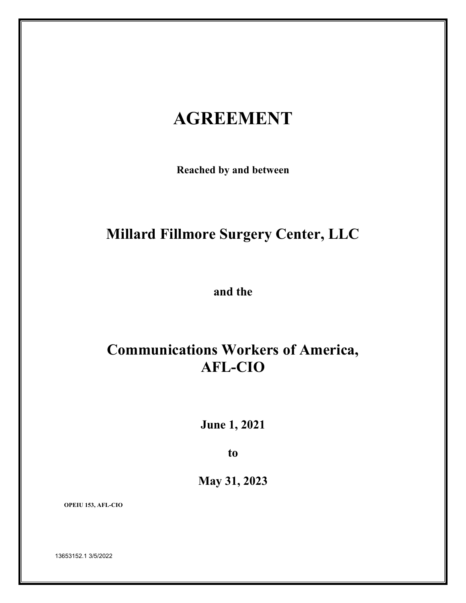# **AGREEMENT**

**Reached by and between**

# **Millard Fillmore Surgery Center, LLC**

**and the**

# **Communications Workers of America, AFL-CIO**

**June 1, 2021**

**to**

**May 31, 2023**

 **OPEIU 153, AFL-CIO**

13653152.1 3/5/2022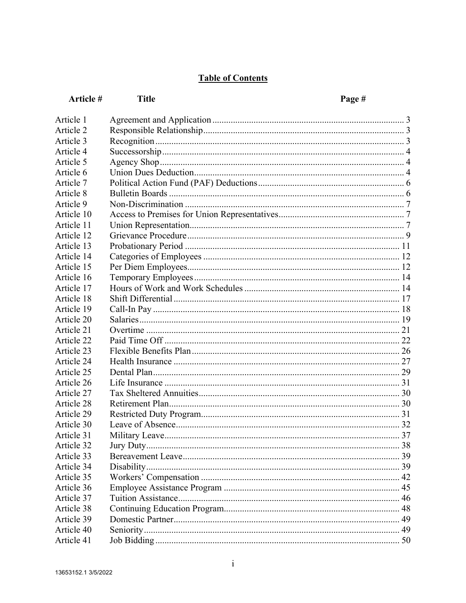# **Table of Contents**

| Article #  | <b>Title</b><br>Page # |  |
|------------|------------------------|--|
| Article 1  |                        |  |
| Article 2  |                        |  |
| Article 3  |                        |  |
| Article 4  |                        |  |
| Article 5  |                        |  |
| Article 6  |                        |  |
| Article 7  |                        |  |
| Article 8  |                        |  |
| Article 9  |                        |  |
| Article 10 |                        |  |
| Article 11 |                        |  |
| Article 12 |                        |  |
| Article 13 |                        |  |
| Article 14 |                        |  |
| Article 15 |                        |  |
| Article 16 |                        |  |
| Article 17 |                        |  |
| Article 18 |                        |  |
| Article 19 |                        |  |
| Article 20 |                        |  |
| Article 21 |                        |  |
| Article 22 |                        |  |
| Article 23 |                        |  |
| Article 24 |                        |  |
| Article 25 |                        |  |
| Article 26 |                        |  |
| Article 27 |                        |  |
| Article 28 |                        |  |
| Article 29 |                        |  |
| Article 30 |                        |  |
| Article 31 |                        |  |
| Article 32 |                        |  |
| Article 33 |                        |  |
| Article 34 |                        |  |
| Article 35 |                        |  |
| Article 36 |                        |  |
| Article 37 |                        |  |
| Article 38 |                        |  |
| Article 39 |                        |  |
| Article 40 |                        |  |
| Article 41 |                        |  |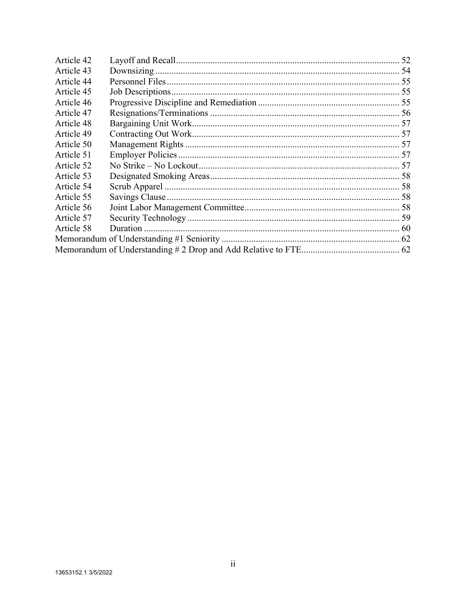| Article 42 |  |
|------------|--|
| Article 43 |  |
| Article 44 |  |
| Article 45 |  |
| Article 46 |  |
| Article 47 |  |
| Article 48 |  |
| Article 49 |  |
| Article 50 |  |
| Article 51 |  |
| Article 52 |  |
| Article 53 |  |
| Article 54 |  |
| Article 55 |  |
| Article 56 |  |
| Article 57 |  |
| Article 58 |  |
|            |  |
|            |  |
|            |  |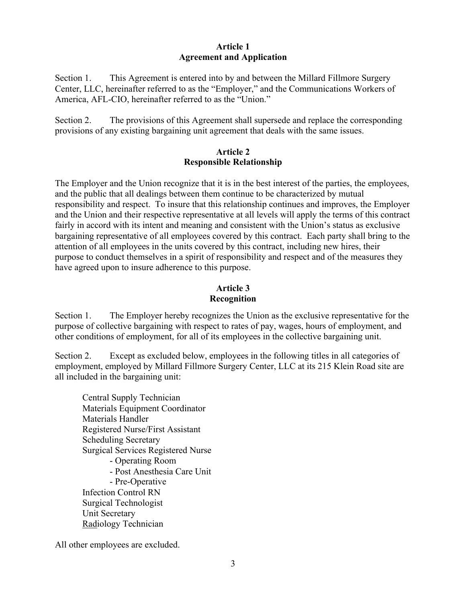## **Article 1 Agreement and Application**

Section 1. This Agreement is entered into by and between the Millard Fillmore Surgery Center, LLC, hereinafter referred to as the "Employer," and the Communications Workers of America, AFL-CIO, hereinafter referred to as the "Union."

Section 2. The provisions of this Agreement shall supersede and replace the corresponding provisions of any existing bargaining unit agreement that deals with the same issues.

#### **Article 2 Responsible Relationship**

The Employer and the Union recognize that it is in the best interest of the parties, the employees, and the public that all dealings between them continue to be characterized by mutual responsibility and respect. To insure that this relationship continues and improves, the Employer and the Union and their respective representative at all levels will apply the terms of this contract fairly in accord with its intent and meaning and consistent with the Union's status as exclusive bargaining representative of all employees covered by this contract. Each party shall bring to the attention of all employees in the units covered by this contract, including new hires, their purpose to conduct themselves in a spirit of responsibility and respect and of the measures they have agreed upon to insure adherence to this purpose.

## **Article 3 Recognition**

Section 1. The Employer hereby recognizes the Union as the exclusive representative for the purpose of collective bargaining with respect to rates of pay, wages, hours of employment, and other conditions of employment, for all of its employees in the collective bargaining unit.

Section 2. Except as excluded below, employees in the following titles in all categories of employment, employed by Millard Fillmore Surgery Center, LLC at its 215 Klein Road site are all included in the bargaining unit:

Central Supply Technician Materials Equipment Coordinator Materials Handler Registered Nurse/First Assistant Scheduling Secretary Surgical Services Registered Nurse - Operating Room - Post Anesthesia Care Unit - Pre-Operative Infection Control RN Surgical Technologist Unit Secretary <u>Rad</u>iology Technician

All other employees are excluded.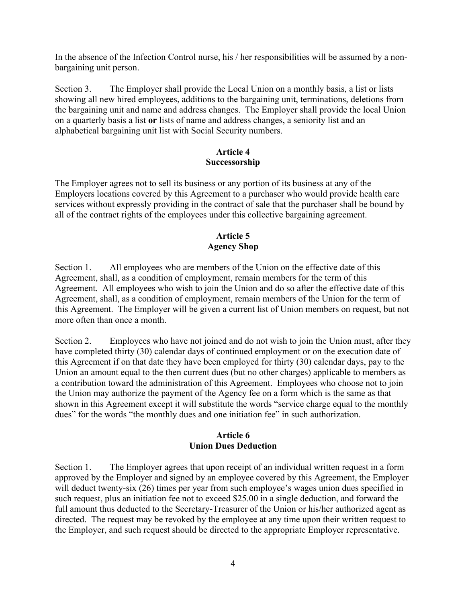In the absence of the Infection Control nurse, his / her responsibilities will be assumed by a nonbargaining unit person.

Section 3. The Employer shall provide the Local Union on a monthly basis, a list or lists showing all new hired employees, additions to the bargaining unit, terminations, deletions from the bargaining unit and name and address changes. The Employer shall provide the local Union on a quarterly basis a list **or** lists of name and address changes, a seniority list and an alphabetical bargaining unit list with Social Security numbers.

#### **Article 4 Successorship**

The Employer agrees not to sell its business or any portion of its business at any of the Employers locations covered by this Agreement to a purchaser who would provide health care services without expressly providing in the contract of sale that the purchaser shall be bound by all of the contract rights of the employees under this collective bargaining agreement.

## **Article 5 Agency Shop**

Section 1. All employees who are members of the Union on the effective date of this Agreement, shall, as a condition of employment, remain members for the term of this Agreement. All employees who wish to join the Union and do so after the effective date of this Agreement, shall, as a condition of employment, remain members of the Union for the term of this Agreement. The Employer will be given a current list of Union members on request, but not more often than once a month.

Section 2. Employees who have not joined and do not wish to join the Union must, after they have completed thirty (30) calendar days of continued employment or on the execution date of this Agreement if on that date they have been employed for thirty (30) calendar days, pay to the Union an amount equal to the then current dues (but no other charges) applicable to members as a contribution toward the administration of this Agreement. Employees who choose not to join the Union may authorize the payment of the Agency fee on a form which is the same as that shown in this Agreement except it will substitute the words "service charge equal to the monthly dues" for the words "the monthly dues and one initiation fee" in such authorization.

## **Article 6 Union Dues Deduction**

Section 1. The Employer agrees that upon receipt of an individual written request in a form approved by the Employer and signed by an employee covered by this Agreement, the Employer will deduct twenty-six (26) times per year from such employee's wages union dues specified in such request, plus an initiation fee not to exceed \$25.00 in a single deduction, and forward the full amount thus deducted to the Secretary-Treasurer of the Union or his/her authorized agent as directed. The request may be revoked by the employee at any time upon their written request to the Employer, and such request should be directed to the appropriate Employer representative.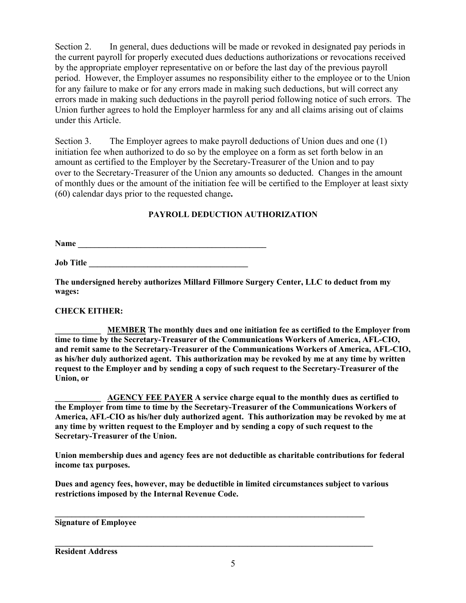Section 2. In general, dues deductions will be made or revoked in designated pay periods in the current payroll for properly executed dues deductions authorizations or revocations received by the appropriate employer representative on or before the last day of the previous payroll period. However, the Employer assumes no responsibility either to the employee or to the Union for any failure to make or for any errors made in making such deductions, but will correct any errors made in making such deductions in the payroll period following notice of such errors. The Union further agrees to hold the Employer harmless for any and all claims arising out of claims under this Article.

Section 3. The Employer agrees to make payroll deductions of Union dues and one (1) initiation fee when authorized to do so by the employee on a form as set forth below in an amount as certified to the Employer by the Secretary-Treasurer of the Union and to pay over to the Secretary-Treasurer of the Union any amounts so deducted. Changes in the amount of monthly dues or the amount of the initiation fee will be certified to the Employer at least sixty (60) calendar days prior to the requested change**.**

#### **PAYROLL DEDUCTION AUTHORIZATION**

**Name \_\_\_\_\_\_\_\_\_\_\_\_\_\_\_\_\_\_\_\_\_\_\_\_\_\_\_\_\_\_\_\_\_\_\_\_\_\_\_\_\_\_\_\_\_**

**Job Title** 

**The undersigned hereby authorizes Millard Fillmore Surgery Center, LLC to deduct from my wages:**

#### **CHECK EITHER:**

**\_\_\_\_\_\_\_\_\_\_\_ MEMBER The monthly dues and one initiation fee as certified to the Employer from time to time by the Secretary-Treasurer of the Communications Workers of America, AFL-CIO, and remit same to the Secretary-Treasurer of the Communications Workers of America, AFL-CIO, as his/her duly authorized agent. This authorization may be revoked by me at any time by written request to the Employer and by sending a copy of such request to the Secretary-Treasurer of the Union, or**

**\_\_\_\_\_\_\_\_\_\_\_ AGENCY FEE PAYER A service charge equal to the monthly dues as certified to the Employer from time to time by the Secretary-Treasurer of the Communications Workers of America, AFL-CIO as his/her duly authorized agent. This authorization may be revoked by me at any time by written request to the Employer and by sending a copy of such request to the Secretary-Treasurer of the Union.**

**Union membership dues and agency fees are not deductible as charitable contributions for federal income tax purposes.**

**Dues and agency fees, however, may be deductible in limited circumstances subject to various restrictions imposed by the Internal Revenue Code.**

**\_\_\_\_\_\_\_\_\_\_\_\_\_\_\_\_\_\_\_\_\_\_\_\_\_\_\_\_\_\_\_\_\_\_\_\_\_\_\_\_\_\_\_\_\_\_\_\_\_\_\_\_\_\_\_\_\_\_\_\_\_\_\_\_\_\_\_\_\_\_\_\_\_\_**

**\_\_\_\_\_\_\_\_\_\_\_\_\_\_\_\_\_\_\_\_\_\_\_\_\_\_\_\_\_\_\_\_\_\_\_\_\_\_\_\_\_\_\_\_\_\_\_\_\_\_\_\_\_\_\_\_\_\_\_\_\_\_\_\_\_\_\_\_\_\_\_\_\_\_\_\_**

#### **Signature of Employee**

**Resident Address**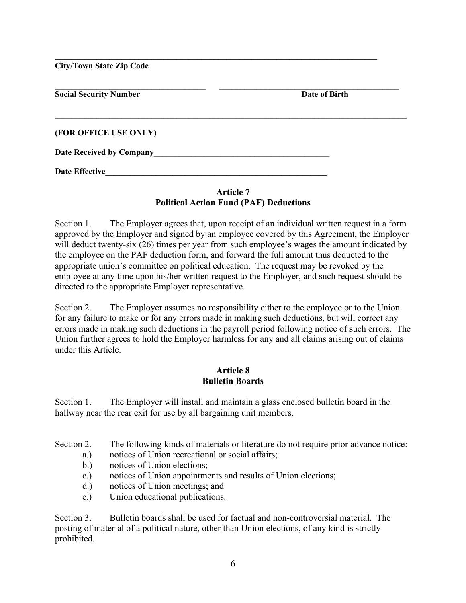**City/Town State Zip Code**

| <b>Social Security Number</b>   | Date of Birth |
|---------------------------------|---------------|
| (FOR OFFICE USE ONLY)           |               |
| <b>Date Received by Company</b> |               |
| <b>Date Effective</b>           |               |

**\_\_\_\_\_\_\_\_\_\_\_\_\_\_\_\_\_\_\_\_\_\_\_\_\_\_\_\_\_\_\_\_\_\_\_\_\_\_\_\_\_\_\_\_\_\_\_\_\_\_\_\_\_\_\_\_\_\_\_\_\_\_\_\_\_\_\_\_\_\_\_\_\_\_\_\_\_**

## **Article 7 Political Action Fund (PAF) Deductions**

Section 1. The Employer agrees that, upon receipt of an individual written request in a form approved by the Employer and signed by an employee covered by this Agreement, the Employer will deduct twenty-six (26) times per year from such employee's wages the amount indicated by the employee on the PAF deduction form, and forward the full amount thus deducted to the appropriate union's committee on political education. The request may be revoked by the employee at any time upon his/her written request to the Employer, and such request should be directed to the appropriate Employer representative.

Section 2. The Employer assumes no responsibility either to the employee or to the Union for any failure to make or for any errors made in making such deductions, but will correct any errors made in making such deductions in the payroll period following notice of such errors. The Union further agrees to hold the Employer harmless for any and all claims arising out of claims under this Article.

## **Article 8 Bulletin Boards**

Section 1. The Employer will install and maintain a glass enclosed bulletin board in the hallway near the rear exit for use by all bargaining unit members.

Section 2. The following kinds of materials or literature do not require prior advance notice:

- a.) notices of Union recreational or social affairs;
- b.) notices of Union elections;
- c.) notices of Union appointments and results of Union elections;
- d.) notices of Union meetings; and
- e.) Union educational publications.

Section 3. Bulletin boards shall be used for factual and non-controversial material. The posting of material of a political nature, other than Union elections, of any kind is strictly prohibited.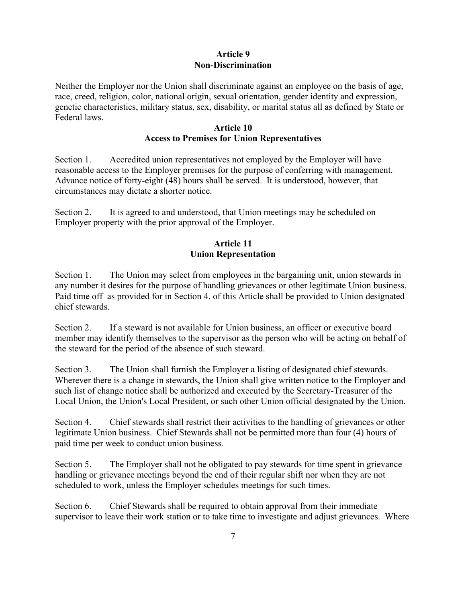#### **Article 9 Non-Discrimination**

Neither the Employer nor the Union shall discriminate against an employee on the basis of age, race, creed, religion, color, national origin, sexual orientation, gender identity and expression, genetic characteristics, military status, sex, disability, or marital status all as defined by State or Federal laws.

## **Article 10 Access to Premises for Union Representatives**

Section 1. Accredited union representatives not employed by the Employer will have reasonable access to the Employer premises for the purpose of conferring with management. Advance notice of forty-eight (48) hours shall be served. It is understood, however, that circumstances may dictate a shorter notice.

Section 2. It is agreed to and understood, that Union meetings may be scheduled on Employer property with the prior approval of the Employer.

## **Article 11 Union Representation**

Section 1. The Union may select from employees in the bargaining unit, union stewards in any number it desires for the purpose of handling grievances or other legitimate Union business. Paid time off as provided for in Section 4. of this Article shall be provided to Union designated chief stewards.

Section 2. If a steward is not available for Union business, an officer or executive board member may identify themselves to the supervisor as the person who will be acting on behalf of the steward for the period of the absence of such steward.

Section 3. The Union shall furnish the Employer a listing of designated chief stewards. Wherever there is a change in stewards, the Union shall give written notice to the Employer and such list of change notice shall be authorized and executed by the Secretary-Treasurer of the Local Union, the Union's Local President, or such other Union official designated by the Union.

Section 4. Chief stewards shall restrict their activities to the handling of grievances or other legitimate Union business. Chief Stewards shall not be permitted more than four (4) hours of paid time per week to conduct union business.

Section 5. The Employer shall not be obligated to pay stewards for time spent in grievance handling or grievance meetings beyond the end of their regular shift nor when they are not scheduled to work, unless the Employer schedules meetings for such times.

Section 6. Chief Stewards shall be required to obtain approval from their immediate supervisor to leave their work station or to take time to investigate and adjust grievances. Where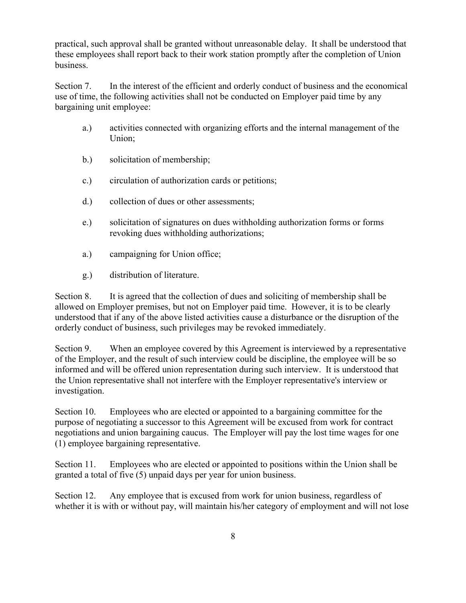practical, such approval shall be granted without unreasonable delay. It shall be understood that these employees shall report back to their work station promptly after the completion of Union business.

Section 7. In the interest of the efficient and orderly conduct of business and the economical use of time, the following activities shall not be conducted on Employer paid time by any bargaining unit employee:

- a.) activities connected with organizing efforts and the internal management of the Union;
- b.) solicitation of membership;
- c.) circulation of authorization cards or petitions;
- d.) collection of dues or other assessments;
- e.) solicitation of signatures on dues withholding authorization forms or forms revoking dues withholding authorizations;
- a.) campaigning for Union office;
- g.) distribution of literature.

Section 8. It is agreed that the collection of dues and soliciting of membership shall be allowed on Employer premises, but not on Employer paid time. However, it is to be clearly understood that if any of the above listed activities cause a disturbance or the disruption of the orderly conduct of business, such privileges may be revoked immediately.

Section 9. When an employee covered by this Agreement is interviewed by a representative of the Employer, and the result of such interview could be discipline, the employee will be so informed and will be offered union representation during such interview. It is understood that the Union representative shall not interfere with the Employer representative's interview or investigation.

Section 10. Employees who are elected or appointed to a bargaining committee for the purpose of negotiating a successor to this Agreement will be excused from work for contract negotiations and union bargaining caucus. The Employer will pay the lost time wages for one (1) employee bargaining representative.

Section 11. Employees who are elected or appointed to positions within the Union shall be granted a total of five (5) unpaid days per year for union business.

Section 12. Any employee that is excused from work for union business, regardless of whether it is with or without pay, will maintain his/her category of employment and will not lose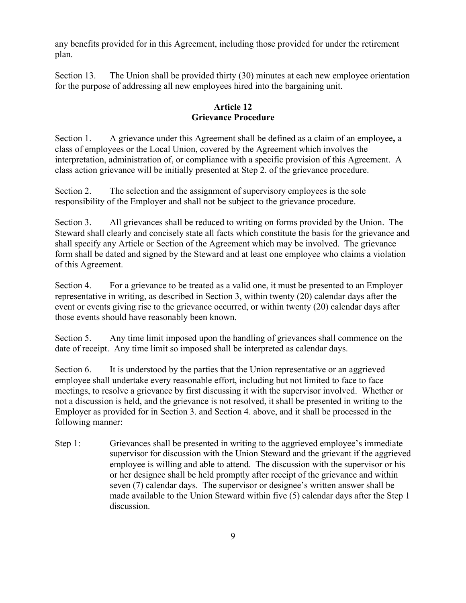any benefits provided for in this Agreement, including those provided for under the retirement plan.

Section 13. The Union shall be provided thirty (30) minutes at each new employee orientation for the purpose of addressing all new employees hired into the bargaining unit.

## **Article 12 Grievance Procedure**

Section 1. A grievance under this Agreement shall be defined as a claim of an employee**,** a class of employees or the Local Union, covered by the Agreement which involves the interpretation, administration of, or compliance with a specific provision of this Agreement. A class action grievance will be initially presented at Step 2. of the grievance procedure.

Section 2. The selection and the assignment of supervisory employees is the sole responsibility of the Employer and shall not be subject to the grievance procedure.

Section 3. All grievances shall be reduced to writing on forms provided by the Union. The Steward shall clearly and concisely state all facts which constitute the basis for the grievance and shall specify any Article or Section of the Agreement which may be involved. The grievance form shall be dated and signed by the Steward and at least one employee who claims a violation of this Agreement.

Section 4. For a grievance to be treated as a valid one, it must be presented to an Employer representative in writing, as described in Section 3, within twenty (20) calendar days after the event or events giving rise to the grievance occurred, or within twenty (20) calendar days after those events should have reasonably been known.

Section 5. Any time limit imposed upon the handling of grievances shall commence on the date of receipt. Any time limit so imposed shall be interpreted as calendar days.

Section 6. It is understood by the parties that the Union representative or an aggrieved employee shall undertake every reasonable effort, including but not limited to face to face meetings, to resolve a grievance by first discussing it with the supervisor involved. Whether or not a discussion is held, and the grievance is not resolved, it shall be presented in writing to the Employer as provided for in Section 3. and Section 4. above, and it shall be processed in the following manner:

Step 1: Grievances shall be presented in writing to the aggrieved employee's immediate supervisor for discussion with the Union Steward and the grievant if the aggrieved employee is willing and able to attend. The discussion with the supervisor or his or her designee shall be held promptly after receipt of the grievance and within seven (7) calendar days. The supervisor or designee's written answer shall be made available to the Union Steward within five (5) calendar days after the Step 1 discussion.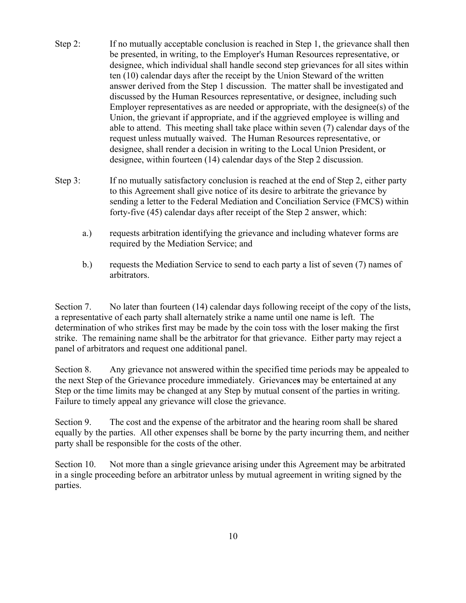- Step 2: If no mutually acceptable conclusion is reached in Step 1, the grievance shall then be presented, in writing, to the Employer's Human Resources representative, or designee, which individual shall handle second step grievances for all sites within ten (10) calendar days after the receipt by the Union Steward of the written answer derived from the Step 1 discussion. The matter shall be investigated and discussed by the Human Resources representative, or designee, including such Employer representatives as are needed or appropriate, with the designee(s) of the Union, the grievant if appropriate, and if the aggrieved employee is willing and able to attend. This meeting shall take place within seven (7) calendar days of the request unless mutually waived. The Human Resources representative, or designee, shall render a decision in writing to the Local Union President, or designee, within fourteen (14) calendar days of the Step 2 discussion.
- Step 3: If no mutually satisfactory conclusion is reached at the end of Step 2, either party to this Agreement shall give notice of its desire to arbitrate the grievance by sending a letter to the Federal Mediation and Conciliation Service (FMCS) within forty-five (45) calendar days after receipt of the Step 2 answer, which:
	- a.) requests arbitration identifying the grievance and including whatever forms are required by the Mediation Service; and
	- b.) requests the Mediation Service to send to each party a list of seven (7) names of arbitrators.

Section 7. No later than fourteen (14) calendar days following receipt of the copy of the lists, a representative of each party shall alternately strike a name until one name is left. The determination of who strikes first may be made by the coin toss with the loser making the first strike. The remaining name shall be the arbitrator for that grievance. Either party may reject a panel of arbitrators and request one additional panel.

Section 8. Any grievance not answered within the specified time periods may be appealed to the next Step of the Grievance procedure immediately. Grievance**s** may be entertained at any Step or the time limits may be changed at any Step by mutual consent of the parties in writing. Failure to timely appeal any grievance will close the grievance.

Section 9. The cost and the expense of the arbitrator and the hearing room shall be shared equally by the parties. All other expenses shall be borne by the party incurring them, and neither party shall be responsible for the costs of the other.

Section 10. Not more than a single grievance arising under this Agreement may be arbitrated in a single proceeding before an arbitrator unless by mutual agreement in writing signed by the parties.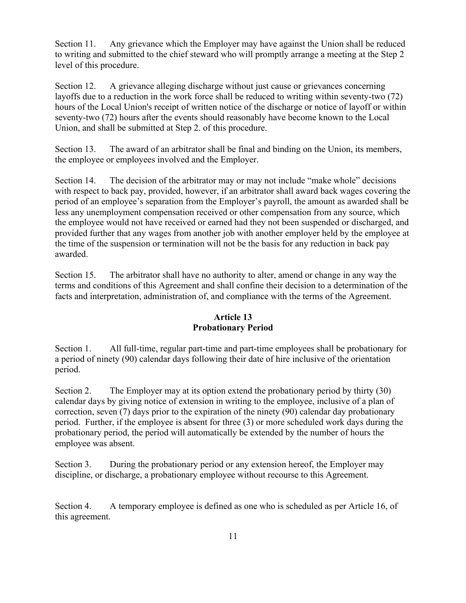Section 11. Any grievance which the Employer may have against the Union shall be reduced to writing and submitted to the chief steward who will promptly arrange a meeting at the Step 2 level of this procedure.

Section 12. A grievance alleging discharge without just cause or grievances concerning layoffs due to a reduction in the work force shall be reduced to writing within seventy-two (72) hours of the Local Union's receipt of written notice of the discharge or notice of layoff or within seventy-two (72) hours after the events should reasonably have become known to the Local Union, and shall be submitted at Step 2. of this procedure.

Section 13. The award of an arbitrator shall be final and binding on the Union, its members, the employee or employees involved and the Employer.

Section 14. The decision of the arbitrator may or may not include "make whole" decisions with respect to back pay, provided, however, if an arbitrator shall award back wages covering the period of an employee's separation from the Employer's payroll, the amount as awarded shall be less any unemployment compensation received or other compensation from any source, which the employee would not have received or earned had they not been suspended or discharged, and provided further that any wages from another job with another employer held by the employee at the time of the suspension or termination will not be the basis for any reduction in back pay awarded.

Section 15. The arbitrator shall have no authority to alter, amend or change in any way the terms and conditions of this Agreement and shall confine their decision to a determination of the facts and interpretation, administration of, and compliance with the terms of the Agreement.

#### **Article 13 Probationary Period**

Section 1. All full-time, regular part-time and part-time employees shall be probationary for a period of ninety (90) calendar days following their date of hire inclusive of the orientation period.

Section 2. The Employer may at its option extend the probationary period by thirty (30) calendar days by giving notice of extension in writing to the employee, inclusive of a plan of correction, seven (7) days prior to the expiration of the ninety (90) calendar day probationary period. Further, if the employee is absent for three (3) or more scheduled work days during the probationary period, the period will automatically be extended by the number of hours the employee was absent.

Section 3. During the probationary period or any extension hereof, the Employer may discipline, or discharge, a probationary employee without recourse to this Agreement.

Section 4. A temporary employee is defined as one who is scheduled as per Article 16, of this agreement.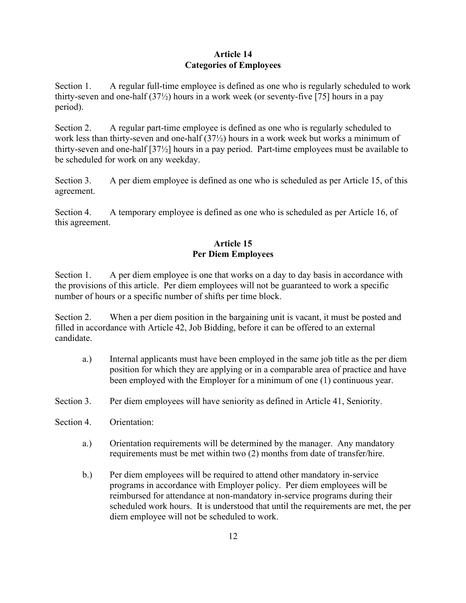## **Article 14 Categories of Employees**

Section 1. A regular full-time employee is defined as one who is regularly scheduled to work thirty-seven and one-half (37½) hours in a work week (or seventy-five [75] hours in a pay period).

Section 2. A regular part-time employee is defined as one who is regularly scheduled to work less than thirty-seven and one-half (37½) hours in a work week but works a minimum of thirty-seven and one-half [37½] hours in a pay period. Part-time employees must be available to be scheduled for work on any weekday.

Section 3. A per diem employee is defined as one who is scheduled as per Article 15, of this agreement.

Section 4. A temporary employee is defined as one who is scheduled as per Article 16, of this agreement.

## **Article 15 Per Diem Employees**

Section 1. A per diem employee is one that works on a day to day basis in accordance with the provisions of this article. Per diem employees will not be guaranteed to work a specific number of hours or a specific number of shifts per time block.

Section 2. When a per diem position in the bargaining unit is vacant, it must be posted and filled in accordance with Article 42, Job Bidding, before it can be offered to an external candidate.

- a.) Internal applicants must have been employed in the same job title as the per diem position for which they are applying or in a comparable area of practice and have been employed with the Employer for a minimum of one (1) continuous year.
- Section 3. Per diem employees will have seniority as defined in Article 41, Seniority.
- Section 4. Orientation:
	- a.) Orientation requirements will be determined by the manager. Any mandatory requirements must be met within two (2) months from date of transfer/hire.
	- b.) Per diem employees will be required to attend other mandatory in-service programs in accordance with Employer policy. Per diem employees will be reimbursed for attendance at non-mandatory in-service programs during their scheduled work hours. It is understood that until the requirements are met, the per diem employee will not be scheduled to work.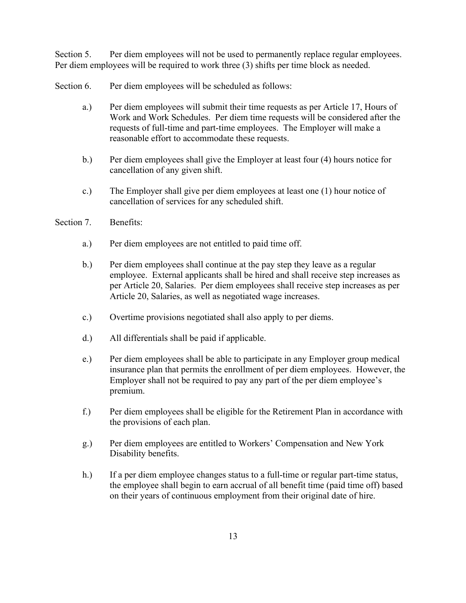Section 5. Per diem employees will not be used to permanently replace regular employees. Per diem employees will be required to work three (3) shifts per time block as needed.

- Section 6. Per diem employees will be scheduled as follows:
	- a.) Per diem employees will submit their time requests as per Article 17, Hours of Work and Work Schedules. Per diem time requests will be considered after the requests of full-time and part-time employees. The Employer will make a reasonable effort to accommodate these requests.
	- b.) Per diem employees shall give the Employer at least four (4) hours notice for cancellation of any given shift.
	- c.) The Employer shall give per diem employees at least one (1) hour notice of cancellation of services for any scheduled shift.
- Section 7. Benefits:
	- a.) Per diem employees are not entitled to paid time off.
	- b.) Per diem employees shall continue at the pay step they leave as a regular employee. External applicants shall be hired and shall receive step increases as per Article 20, Salaries. Per diem employees shall receive step increases as per Article 20, Salaries, as well as negotiated wage increases.
	- c.) Overtime provisions negotiated shall also apply to per diems.
	- d.) All differentials shall be paid if applicable.
	- e.) Per diem employees shall be able to participate in any Employer group medical insurance plan that permits the enrollment of per diem employees. However, the Employer shall not be required to pay any part of the per diem employee's premium.
	- f.) Per diem employees shall be eligible for the Retirement Plan in accordance with the provisions of each plan.
	- g.) Per diem employees are entitled to Workers' Compensation and New York Disability benefits.
	- h.) If a per diem employee changes status to a full-time or regular part-time status, the employee shall begin to earn accrual of all benefit time (paid time off) based on their years of continuous employment from their original date of hire.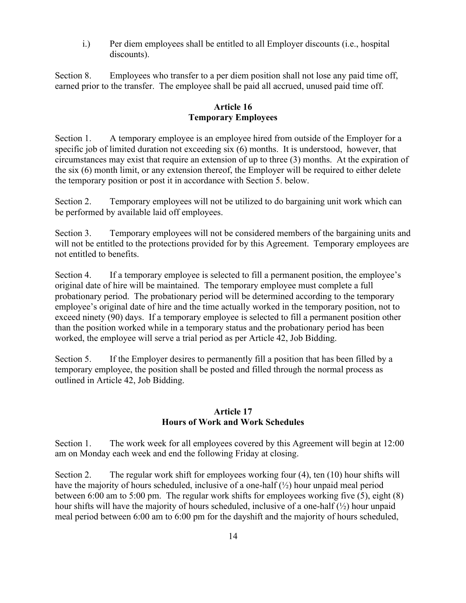i.) Per diem employees shall be entitled to all Employer discounts (i.e., hospital discounts).

Section 8. Employees who transfer to a per diem position shall not lose any paid time off, earned prior to the transfer. The employee shall be paid all accrued, unused paid time off.

## **Article 16 Temporary Employees**

Section 1. A temporary employee is an employee hired from outside of the Employer for a specific job of limited duration not exceeding six (6) months. It is understood, however, that circumstances may exist that require an extension of up to three (3) months. At the expiration of the six (6) month limit, or any extension thereof, the Employer will be required to either delete the temporary position or post it in accordance with Section 5. below.

Section 2. Temporary employees will not be utilized to do bargaining unit work which can be performed by available laid off employees.

Section 3. Temporary employees will not be considered members of the bargaining units and will not be entitled to the protections provided for by this Agreement.Temporary employees are not entitled to benefits.

Section 4. If a temporary employee is selected to fill a permanent position, the employee's original date of hire will be maintained. The temporary employee must complete a full probationary period.The probationary period will be determined according to the temporary employee's original date of hire and the time actually worked in the temporary position, not to exceed ninety (90) days. If a temporary employee is selected to fill a permanent position other than the position worked while in a temporary status and the probationary period has been worked, the employee will serve a trial period as per Article 42, Job Bidding.

Section 5. If the Employer desires to permanently fill a position that has been filled by a temporary employee, the position shall be posted and filled through the normal process as outlined in Article 42, Job Bidding.

## **Article 17 Hours of Work and Work Schedules**

Section 1. The work week for all employees covered by this Agreement will begin at 12:00 am on Monday each week and end the following Friday at closing.

Section 2. The regular work shift for employees working four (4), ten (10) hour shifts will have the majority of hours scheduled, inclusive of a one-half  $(\frac{1}{2})$  hour unpaid meal period between 6:00 am to 5:00 pm. The regular work shifts for employees working five (5), eight (8) hour shifts will have the majority of hours scheduled, inclusive of a one-half (½) hour unpaid meal period between 6:00 am to 6:00 pm for the dayshift and the majority of hours scheduled,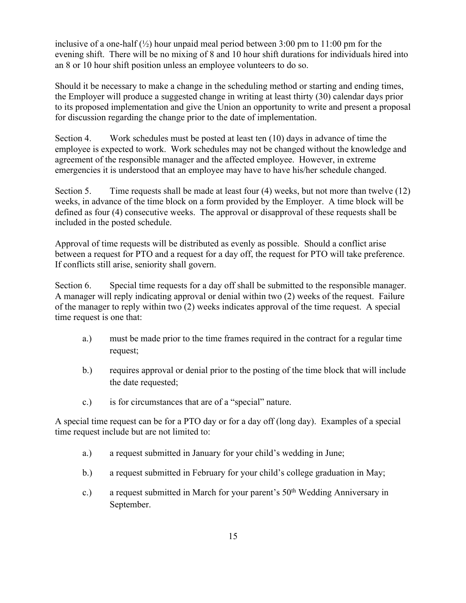inclusive of a one-half  $(\frac{1}{2})$  hour unpaid meal period between 3:00 pm to 11:00 pm for the evening shift. There will be no mixing of 8 and 10 hour shift durations for individuals hired into an 8 or 10 hour shift position unless an employee volunteers to do so.

Should it be necessary to make a change in the scheduling method or starting and ending times, the Employer will produce a suggested change in writing at least thirty (30) calendar days prior to its proposed implementation and give the Union an opportunity to write and present a proposal for discussion regarding the change prior to the date of implementation.

Section 4. Work schedules must be posted at least ten (10) days in advance of time the employee is expected to work. Work schedules may not be changed without the knowledge and agreement of the responsible manager and the affected employee. However, in extreme emergencies it is understood that an employee may have to have his/her schedule changed.

Section 5. Time requests shall be made at least four (4) weeks, but not more than twelve (12) weeks, in advance of the time block on a form provided by the Employer. A time block will be defined as four (4) consecutive weeks. The approval or disapproval of these requests shall be included in the posted schedule.

Approval of time requests will be distributed as evenly as possible. Should a conflict arise between a request for PTO and a request for a day off, the request for PTO will take preference. If conflicts still arise, seniority shall govern.

Section 6. Special time requests for a day off shall be submitted to the responsible manager. A manager will reply indicating approval or denial within two (2) weeks of the request. Failure of the manager to reply within two (2) weeks indicates approval of the time request. A special time request is one that:

- a.) must be made prior to the time frames required in the contract for a regular time request;
- b.) requires approval or denial prior to the posting of the time block that will include the date requested;
- c.) is for circumstances that are of a "special" nature.

A special time request can be for a PTO day or for a day off (long day). Examples of a special time request include but are not limited to:

- a.) a request submitted in January for your child's wedding in June;
- b.) a request submitted in February for your child's college graduation in May;
- c.) a request submitted in March for your parent's 50<sup>th</sup> Wedding Anniversary in September.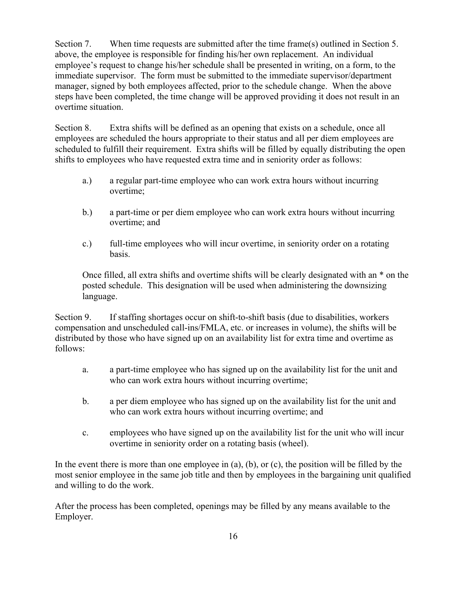Section 7. When time requests are submitted after the time frame(s) outlined in Section 5. above, the employee is responsible for finding his/her own replacement. An individual employee's request to change his/her schedule shall be presented in writing, on a form, to the immediate supervisor. The form must be submitted to the immediate supervisor/department manager, signed by both employees affected, prior to the schedule change. When the above steps have been completed, the time change will be approved providing it does not result in an overtime situation.

Section 8. Extra shifts will be defined as an opening that exists on a schedule, once all employees are scheduled the hours appropriate to their status and all per diem employees are scheduled to fulfill their requirement. Extra shifts will be filled by equally distributing the open shifts to employees who have requested extra time and in seniority order as follows:

- a.) a regular part-time employee who can work extra hours without incurring overtime;
- b.) a part-time or per diem employee who can work extra hours without incurring overtime; and
- c.) full-time employees who will incur overtime, in seniority order on a rotating basis.

Once filled, all extra shifts and overtime shifts will be clearly designated with an \* on the posted schedule. This designation will be used when administering the downsizing language.

Section 9. If staffing shortages occur on shift-to-shift basis (due to disabilities, workers compensation and unscheduled call-ins/FMLA, etc. or increases in volume), the shifts will be distributed by those who have signed up on an availability list for extra time and overtime as follows:

- a. a part-time employee who has signed up on the availability list for the unit and who can work extra hours without incurring overtime;
- b. a per diem employee who has signed up on the availability list for the unit and who can work extra hours without incurring overtime; and
- c. employees who have signed up on the availability list for the unit who will incur overtime in seniority order on a rotating basis (wheel).

In the event there is more than one employee in (a), (b), or (c), the position will be filled by the most senior employee in the same job title and then by employees in the bargaining unit qualified and willing to do the work.

After the process has been completed, openings may be filled by any means available to the Employer.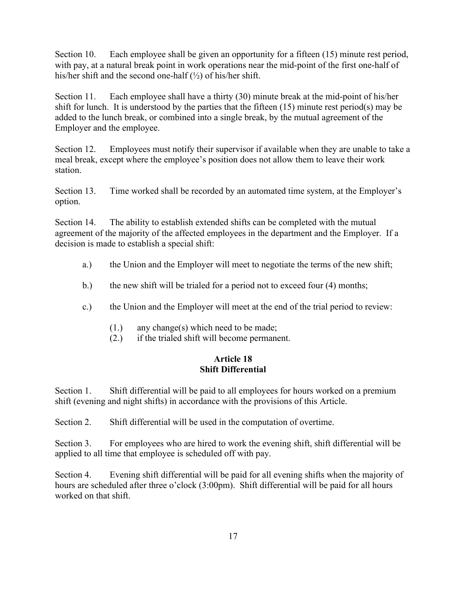Section 10. Each employee shall be given an opportunity for a fifteen (15) minute rest period, with pay, at a natural break point in work operations near the mid-point of the first one-half of his/her shift and the second one-half (½) of his/her shift.

Section 11. Each employee shall have a thirty (30) minute break at the mid-point of his/her shift for lunch. It is understood by the parties that the fifteen (15) minute rest period(s) may be added to the lunch break, or combined into a single break, by the mutual agreement of the Employer and the employee.

Section 12. Employees must notify their supervisor if available when they are unable to take a meal break, except where the employee's position does not allow them to leave their work station.

Section 13. Time worked shall be recorded by an automated time system, at the Employer's option.

Section 14. The ability to establish extended shifts can be completed with the mutual agreement of the majority of the affected employees in the department and the Employer. If a decision is made to establish a special shift:

- a.) the Union and the Employer will meet to negotiate the terms of the new shift;
- b.) the new shift will be trialed for a period not to exceed four (4) months;
- c.) the Union and the Employer will meet at the end of the trial period to review:
	- (1.) any change(s) which need to be made;
	- (2.) if the trialed shift will become permanent.

## **Article 18 Shift Differential**

Section 1. Shift differential will be paid to all employees for hours worked on a premium shift (evening and night shifts) in accordance with the provisions of this Article.

Section 2. Shift differential will be used in the computation of overtime.

Section 3. For employees who are hired to work the evening shift, shift differential will be applied to all time that employee is scheduled off with pay.

Section 4. Evening shift differential will be paid for all evening shifts when the majority of hours are scheduled after three o'clock (3:00pm). Shift differential will be paid for all hours worked on that shift.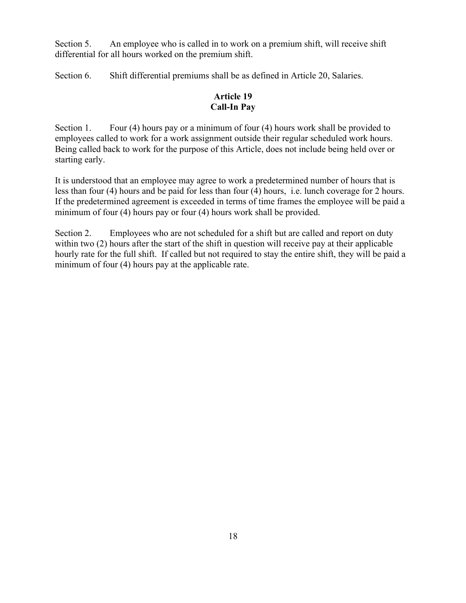Section 5. An employee who is called in to work on a premium shift, will receive shift differential for all hours worked on the premium shift.

Section 6. Shift differential premiums shall be as defined in Article 20, Salaries.

## **Article 19 Call-In Pay**

Section 1. Four (4) hours pay or a minimum of four (4) hours work shall be provided to employees called to work for a work assignment outside their regular scheduled work hours. Being called back to work for the purpose of this Article, does not include being held over or starting early.

It is understood that an employee may agree to work a predetermined number of hours that is less than four (4) hours and be paid for less than four (4) hours, i.e. lunch coverage for 2 hours. If the predetermined agreement is exceeded in terms of time frames the employee will be paid a minimum of four (4) hours pay or four (4) hours work shall be provided.

Section 2. Employees who are not scheduled for a shift but are called and report on duty within two (2) hours after the start of the shift in question will receive pay at their applicable hourly rate for the full shift. If called but not required to stay the entire shift, they will be paid a minimum of four (4) hours pay at the applicable rate.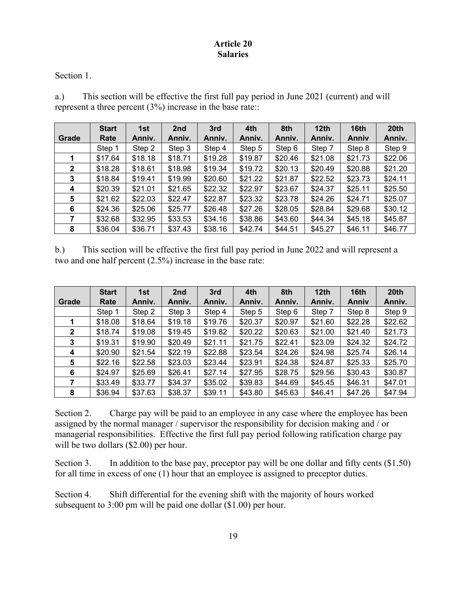#### **Article 20 Salaries**

Section 1.

a.) This section will be effective the first full pay period in June 2021 (current) and will represent a three percent (3%) increase in the base rate::

|              | <b>Start</b> | 1st     | 2 <sub>nd</sub> | 3rd     | 4th     | 8th     | 12 <sub>th</sub> | 16th         | 20 <sup>th</sup> |
|--------------|--------------|---------|-----------------|---------|---------|---------|------------------|--------------|------------------|
| Grade        | Rate         | Anniv.  | Anniv.          | Anniv.  | Anniv.  | Anniv.  | Anniv.           | <b>Anniv</b> | Anniv.           |
|              | Step 1       | Step 2  | Step 3          | Step 4  | Step 5  | Step 6  | Step 7           | Step 8       | Step 9           |
|              | \$17.64      | \$18.18 | \$18.71         | \$19.28 | \$19.87 | \$20.46 | \$21.08          | \$21.73      | \$22.06          |
| $\mathbf{2}$ | \$18.28      | \$18.61 | \$18.98         | \$19.34 | \$19.72 | \$20.13 | \$20.49          | \$20.88      | \$21.20          |
| 3            | \$18.84      | \$19.41 | \$19.99         | \$20.60 | \$21.22 | \$21.87 | \$22.52          | \$23.73      | \$24.11          |
| 4            | \$20.39      | \$21.01 | \$21.65         | \$22.32 | \$22.97 | \$23.67 | \$24.37          | \$25.11      | \$25.50          |
| 5            | \$21.62      | \$22.03 | \$22.47         | \$22.87 | \$23.32 | \$23.78 | \$24.26          | \$24.71      | \$25.07          |
| 6            | \$24.36      | \$25.06 | \$25.77         | \$26.48 | \$27.26 | \$28.05 | \$28.84          | \$29.68      | \$30.12          |
| 7            | \$32.68      | \$32.95 | \$33.53         | \$34.16 | \$38.86 | \$43.60 | \$44.34          | \$45.18      | \$45.87          |
| 8            | \$36.04      | \$36.71 | \$37.43         | \$38.16 | \$42.74 | \$44.51 | \$45.27          | \$46.11      | \$46.77          |

b.) This section will be effective the first full pay period in June 2022 and will represent a two and one half percent (2.5%) increase in the base rate:

|              | <b>Start</b> | 1st     | 2nd     | 3rd     | 4th     | 8th     | 12 <sub>th</sub> | 16th    | 20 <sub>th</sub> |
|--------------|--------------|---------|---------|---------|---------|---------|------------------|---------|------------------|
| Grade        | Rate         | Anniv.  | Anniv.  | Anniv.  | Anniv.  | Anniv.  | Anniv.           | Anniv   | Anniv.           |
|              | Step 1       | Step 2  | Step 3  | Step 4  | Step 5  | Step 6  | Step 7           | Step 8  | Step 9           |
|              | \$18.08      | \$18.64 | \$19.18 | \$19.76 | \$20.37 | \$20.97 | \$21.60          | \$22.28 | \$22.62          |
| $\mathbf{2}$ | \$18.74      | \$19.08 | \$19.45 | \$19.82 | \$20.22 | \$20.63 | \$21.00          | \$21.40 | \$21.73          |
| 3            | \$19.31      | \$19.90 | \$20.49 | \$21.11 | \$21.75 | \$22.41 | \$23.09          | \$24.32 | \$24.72          |
| 4            | \$20.90      | \$21.54 | \$22.19 | \$22.88 | \$23.54 | \$24.26 | \$24.98          | \$25.74 | \$26.14          |
| 5            | \$22.16      | \$22.58 | \$23.03 | \$23.44 | \$23.91 | \$24.38 | \$24.87          | \$25.33 | \$25.70          |
| 6            | \$24.97      | \$25.69 | \$26.41 | \$27.14 | \$27.95 | \$28.75 | \$29.56          | \$30.43 | \$30.87          |
|              | \$33.49      | \$33.77 | \$34.37 | \$35.02 | \$39.83 | \$44.69 | \$45.45          | \$46.31 | \$47.01          |
| 8            | \$36.94      | \$37.63 | \$38.37 | \$39.11 | \$43.80 | \$45.63 | \$46.41          | \$47.26 | \$47.94          |

Section 2. Charge pay will be paid to an employee in any case where the employee has been assigned by the normal manager / supervisor the responsibility for decision making and / or managerial responsibilities. Effective the first full pay period following ratification charge pay will be two dollars (\$2.00) per hour.

Section 3. In addition to the base pay, preceptor pay will be one dollar and fifty cents (\$1.50) for all time in excess of one (1) hour that an employee is assigned to preceptor duties.

Section 4. Shift differential for the evening shift with the majority of hours worked subsequent to 3:00 pm will be paid one dollar (\$1.00) per hour.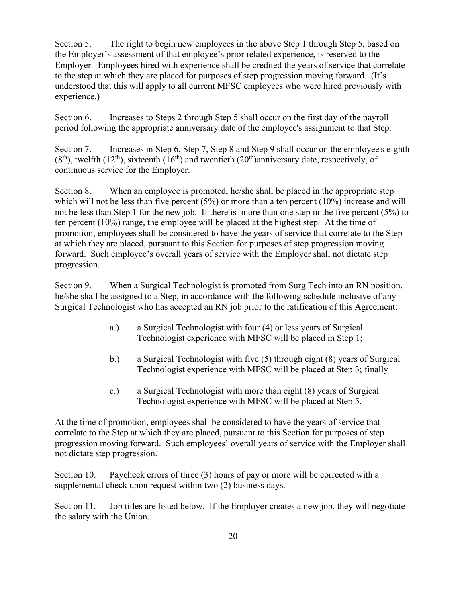Section 5. The right to begin new employees in the above Step 1 through Step 5, based on the Employer's assessment of that employee's prior related experience, is reserved to the Employer. Employees hired with experience shall be credited the years of service that correlate to the step at which they are placed for purposes of step progression moving forward. (It's understood that this will apply to all current MFSC employees who were hired previously with experience.)

Section 6. Increases to Steps 2 through Step 5 shall occur on the first day of the payroll period following the appropriate anniversary date of the employee's assignment to that Step.

Section 7. Increases in Step 6, Step 7, Step 8 and Step 9 shall occur on the employee's eighth  $(8<sup>th</sup>)$ , twelfth  $(12<sup>th</sup>)$ , sixteenth  $(16<sup>th</sup>)$  and twentieth  $(20<sup>th</sup>)$ anniversary date, respectively, of continuous service for the Employer.

Section 8. When an employee is promoted, he/she shall be placed in the appropriate step which will not be less than five percent  $(5%)$  or more than a ten percent  $(10%)$  increase and will not be less than Step 1 for the new job. If there is more than one step in the five percent (5%) to ten percent (10%) range, the employee will be placed at the highest step. At the time of promotion, employees shall be considered to have the years of service that correlate to the Step at which they are placed, pursuant to this Section for purposes of step progression moving forward. Such employee's overall years of service with the Employer shall not dictate step progression.

Section 9. When a Surgical Technologist is promoted from Surg Tech into an RN position, he/she shall be assigned to a Step, in accordance with the following schedule inclusive of any Surgical Technologist who has accepted an RN job prior to the ratification of this Agreement:

- a.) a Surgical Technologist with four (4) or less years of Surgical Technologist experience with MFSC will be placed in Step 1;
- b.) a Surgical Technologist with five (5) through eight (8) years of Surgical Technologist experience with MFSC will be placed at Step 3; finally
- c.) a Surgical Technologist with more than eight (8) years of Surgical Technologist experience with MFSC will be placed at Step 5.

At the time of promotion, employees shall be considered to have the years of service that correlate to the Step at which they are placed, pursuant to this Section for purposes of step progression moving forward. Such employees' overall years of service with the Employer shall not dictate step progression.

Section 10. Paycheck errors of three (3) hours of pay or more will be corrected with a supplemental check upon request within two (2) business days.

Section 11. Job titles are listed below. If the Employer creates a new job, they will negotiate the salary with the Union.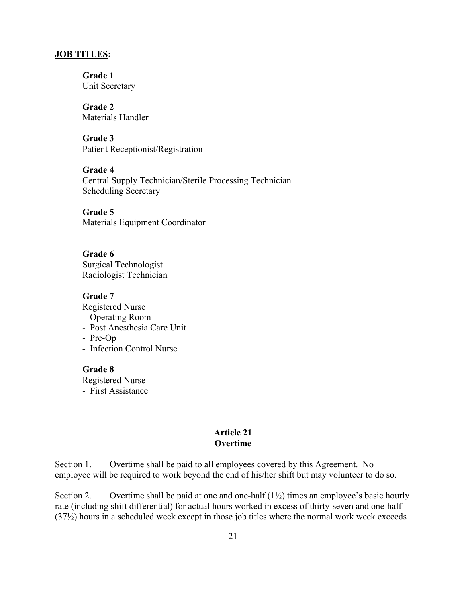#### **JOB TITLES:**

 **Grade 1** Unit Secretary

 **Grade 2** Materials Handler

 **Grade 3** Patient Receptionist/Registration

 **Grade 4**  Central Supply Technician/Sterile Processing Technician Scheduling Secretary

**Grade 5** Materials Equipment Coordinator

**Grade 6** Surgical Technologist Radiologist Technician

#### **Grade 7**

Registered Nurse

- Operating Room
- Post Anesthesia Care Unit
- Pre-Op
- Infection Control Nurse

#### **Grade 8**

Registered Nurse

- First Assistance

#### **Article 21 Overtime**

Section 1. Overtime shall be paid to all employees covered by this Agreement. No employee will be required to work beyond the end of his/her shift but may volunteer to do so.

Section 2. Overtime shall be paid at one and one-half  $(1\frac{1}{2})$  times an employee's basic hourly rate (including shift differential) for actual hours worked in excess of thirty-seven and one-half (37½) hours in a scheduled week except in those job titles where the normal work week exceeds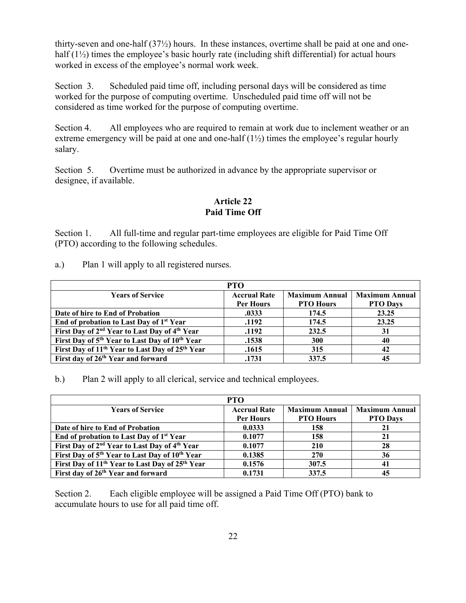thirty-seven and one-half (37½) hours. In these instances, overtime shall be paid at one and onehalf  $(1\frac{1}{2})$  times the employee's basic hourly rate (including shift differential) for actual hours worked in excess of the employee's normal work week.

Section 3. Scheduled paid time off, including personal days will be considered as time worked for the purpose of computing overtime. Unscheduled paid time off will not be considered as time worked for the purpose of computing overtime.

Section 4. All employees who are required to remain at work due to inclement weather or an extreme emergency will be paid at one and one-half  $(1\frac{1}{2})$  times the employee's regular hourly salary.

Section 5. Overtime must be authorized in advance by the appropriate supervisor or designee, if available.

## **Article 22 Paid Time Off**

Section 1. All full-time and regular part-time employees are eligible for Paid Time Off (PTO) according to the following schedules.

a.) Plan 1 will apply to all registered nurses.

|                                                                         | <b>PTO</b>          |                       |                       |
|-------------------------------------------------------------------------|---------------------|-----------------------|-----------------------|
| <b>Years of Service</b>                                                 | <b>Accrual Rate</b> | <b>Maximum Annual</b> | <b>Maximum Annual</b> |
|                                                                         | Per Hours           | <b>PTO Hours</b>      | <b>PTO Days</b>       |
| Date of hire to End of Probation                                        | .0333               | 174.5                 | 23.25                 |
| End of probation to Last Day of 1 <sup>st</sup> Year                    | .1192               | 174.5                 | 23.25                 |
| First Day of 2 <sup>nd</sup> Year to Last Day of 4 <sup>th</sup> Year   | .1192               | 232.5                 | 31                    |
| First Day of 5 <sup>th</sup> Year to Last Day of 10 <sup>th</sup> Year  | .1538               | 300                   | 40                    |
| First Day of 11 <sup>th</sup> Year to Last Day of 25 <sup>th</sup> Year | .1615               | 315                   | 42                    |
| First day of 26 <sup>th</sup> Year and forward                          | .1731               | 337.5                 | 45                    |

b.) Plan 2 will apply to all clerical, service and technical employees.

|                                                                         | <b>PTO</b>          |                       |                       |
|-------------------------------------------------------------------------|---------------------|-----------------------|-----------------------|
| <b>Years of Service</b>                                                 | <b>Accrual Rate</b> | <b>Maximum Annual</b> | <b>Maximum Annual</b> |
|                                                                         | Per Hours           | <b>PTO Hours</b>      | <b>PTO Days</b>       |
| Date of hire to End of Probation                                        | 0.0333              | 158                   | 21                    |
| End of probation to Last Day of 1 <sup>st</sup> Year                    | 0.1077              | 158                   | 21                    |
| First Day of 2 <sup>nd</sup> Year to Last Day of 4 <sup>th</sup> Year   | 0.1077              | 210                   | 28                    |
| First Day of 5 <sup>th</sup> Year to Last Day of 10 <sup>th</sup> Year  | 0.1385              | <b>270</b>            | 36                    |
| First Day of 11 <sup>th</sup> Year to Last Day of 25 <sup>th</sup> Year | 0.1576              | 307.5                 | 41                    |
| First day of 26 <sup>th</sup> Year and forward                          | 0.1731              | 337.5                 | 45                    |

Section 2. Each eligible employee will be assigned a Paid Time Off (PTO) bank to accumulate hours to use for all paid time off.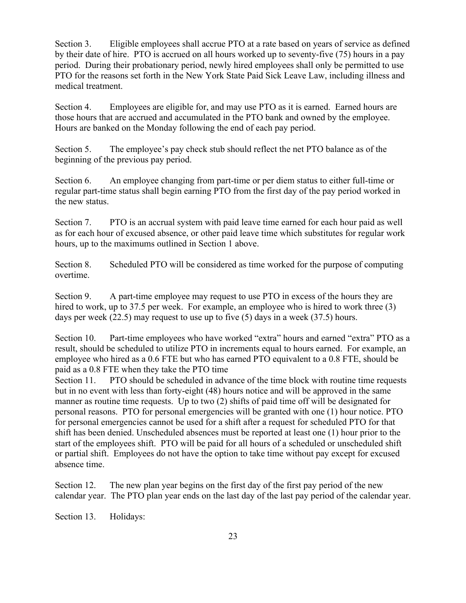Section 3. Eligible employees shall accrue PTO at a rate based on years of service as defined by their date of hire. PTO is accrued on all hours worked up to seventy-five (75) hours in a pay period. During their probationary period, newly hired employees shall only be permitted to use PTO for the reasons set forth in the New York State Paid Sick Leave Law, including illness and medical treatment.

Section 4. Employees are eligible for, and may use PTO as it is earned. Earned hours are those hours that are accrued and accumulated in the PTO bank and owned by the employee. Hours are banked on the Monday following the end of each pay period.

Section 5. The employee's pay check stub should reflect the net PTO balance as of the beginning of the previous pay period.

Section 6. An employee changing from part-time or per diem status to either full-time or regular part-time status shall begin earning PTO from the first day of the pay period worked in the new status.

Section 7. PTO is an accrual system with paid leave time earned for each hour paid as well as for each hour of excused absence, or other paid leave time which substitutes for regular work hours, up to the maximums outlined in Section 1 above.

Section 8. Scheduled PTO will be considered as time worked for the purpose of computing overtime.

Section 9. A part-time employee may request to use PTO in excess of the hours they are hired to work, up to 37.5 per week. For example, an employee who is hired to work three (3) days per week (22.5) may request to use up to five (5) days in a week (37.5) hours.

Section 10. Part-time employees who have worked "extra" hours and earned "extra" PTO as a result, should be scheduled to utilize PTO in increments equal to hours earned. For example, an employee who hired as a 0.6 FTE but who has earned PTO equivalent to a 0.8 FTE, should be paid as a 0.8 FTE when they take the PTO time

Section 11. PTO should be scheduled in advance of the time block with routine time requests but in no event with less than forty-eight (48) hours notice and will be approved in the same manner as routine time requests. Up to two (2) shifts of paid time off will be designated for personal reasons. PTO for personal emergencies will be granted with one (1) hour notice. PTO for personal emergencies cannot be used for a shift after a request for scheduled PTO for that shift has been denied. Unscheduled absences must be reported at least one (1) hour prior to the start of the employees shift. PTO will be paid for all hours of a scheduled or unscheduled shift or partial shift. Employees do not have the option to take time without pay except for excused absence time.

Section 12. The new plan year begins on the first day of the first pay period of the new calendar year. The PTO plan year ends on the last day of the last pay period of the calendar year.

Section 13. Holidays: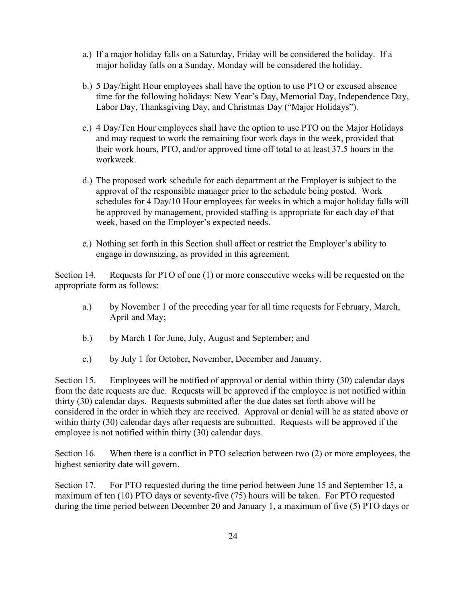- a.) If a major holiday falls on a Saturday, Friday will be considered the holiday. If a major holiday falls on a Sunday, Monday will be considered the holiday.
- b.) 5 Day/Eight Hour employees shall have the option to use PTO or excused absence time for the following holidays: New Year's Day, Memorial Day, Independence Day, Labor Day, Thanksgiving Day, and Christmas Day ("Major Holidays").
- c.) 4 Day/Ten Hour employees shall have the option to use PTO on the Major Holidays and may request to work the remaining four work days in the week, provided that their work hours, PTO, and/or approved time off total to at least 37.5 hours in the workweek.
- d.) The proposed work schedule for each department at the Employer is subject to the approval of the responsible manager prior to the schedule being posted. Work schedules for 4 Day/10 Hour employees for weeks in which a major holiday falls will be approved by management, provided staffing is appropriate for each day of that week, based on the Employer's expected needs.
- e.) Nothing set forth in this Section shall affect or restrict the Employer's ability to engage in downsizing, as provided in this agreement.

Section 14. Requests for PTO of one (1) or more consecutive weeks will be requested on the appropriate form as follows:

- a.) by November 1 of the preceding year for all time requests for February, March, April and May;
- b.) by March 1 for June, July, August and September; and
- c.) by July 1 for October, November, December and January.

Section 15. Employees will be notified of approval or denial within thirty (30) calendar days from the date requests are due. Requests will be approved if the employee is not notified within thirty (30) calendar days. Requests submitted after the due dates set forth above will be considered in the order in which they are received. Approval or denial will be as stated above or within thirty (30) calendar days after requests are submitted. Requests will be approved if the employee is not notified within thirty (30) calendar days.

Section 16. When there is a conflict in PTO selection between two (2) or more employees, the highest seniority date will govern.

Section 17. For PTO requested during the time period between June 15 and September 15, a maximum of ten (10) PTO days or seventy-five (75) hours will be taken. For PTO requested during the time period between December 20 and January 1, a maximum of five (5) PTO days or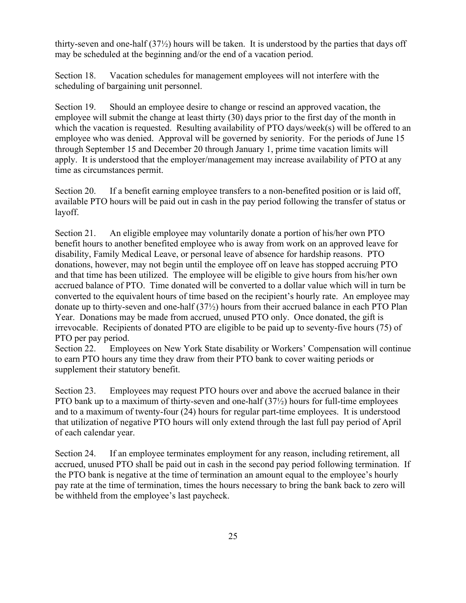thirty-seven and one-half (37½) hours will be taken. It is understood by the parties that days off may be scheduled at the beginning and/or the end of a vacation period.

Section 18. Vacation schedules for management employees will not interfere with the scheduling of bargaining unit personnel.

Section 19. Should an employee desire to change or rescind an approved vacation, the employee will submit the change at least thirty (30) days prior to the first day of the month in which the vacation is requested. Resulting availability of PTO days/week(s) will be offered to an employee who was denied. Approval will be governed by seniority. For the periods of June 15 through September 15 and December 20 through January 1, prime time vacation limits will apply. It is understood that the employer/management may increase availability of PTO at any time as circumstances permit.

Section 20. If a benefit earning employee transfers to a non-benefited position or is laid off, available PTO hours will be paid out in cash in the pay period following the transfer of status or layoff.

Section 21. An eligible employee may voluntarily donate a portion of his/her own PTO benefit hours to another benefited employee who is away from work on an approved leave for disability, Family Medical Leave, or personal leave of absence for hardship reasons. PTO donations, however, may not begin until the employee off on leave has stopped accruing PTO and that time has been utilized. The employee will be eligible to give hours from his/her own accrued balance of PTO. Time donated will be converted to a dollar value which will in turn be converted to the equivalent hours of time based on the recipient's hourly rate. An employee may donate up to thirty-seven and one-half (37½) hours from their accrued balance in each PTO Plan Year. Donations may be made from accrued, unused PTO only. Once donated, the gift is irrevocable. Recipients of donated PTO are eligible to be paid up to seventy-five hours (75) of PTO per pay period.

Section 22. Employees on New York State disability or Workers' Compensation will continue to earn PTO hours any time they draw from their PTO bank to cover waiting periods or supplement their statutory benefit.

Section 23. Employees may request PTO hours over and above the accrued balance in their PTO bank up to a maximum of thirty-seven and one-half (37½) hours for full-time employees and to a maximum of twenty-four (24) hours for regular part-time employees. It is understood that utilization of negative PTO hours will only extend through the last full pay period of April of each calendar year.

Section 24. If an employee terminates employment for any reason, including retirement, all accrued, unused PTO shall be paid out in cash in the second pay period following termination. If the PTO bank is negative at the time of termination an amount equal to the employee's hourly pay rate at the time of termination, times the hours necessary to bring the bank back to zero will be withheld from the employee's last paycheck.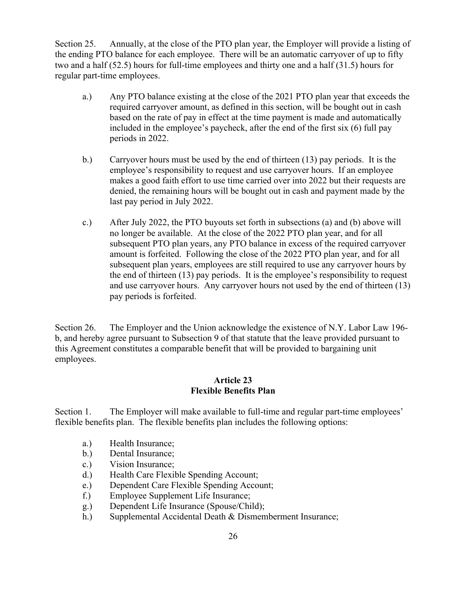Section 25. Annually, at the close of the PTO plan year, the Employer will provide a listing of the ending PTO balance for each employee. There will be an automatic carryover of up to fifty two and a half (52.5) hours for full-time employees and thirty one and a half (31.5) hours for regular part-time employees.

- a.) Any PTO balance existing at the close of the 2021 PTO plan year that exceeds the required carryover amount, as defined in this section, will be bought out in cash based on the rate of pay in effect at the time payment is made and automatically included in the employee's paycheck, after the end of the first six (6) full pay periods in 2022.
- b.) Carryover hours must be used by the end of thirteen (13) pay periods. It is the employee's responsibility to request and use carryover hours. If an employee makes a good faith effort to use time carried over into 2022 but their requests are denied, the remaining hours will be bought out in cash and payment made by the last pay period in July 2022.
- c.) After July 2022, the PTO buyouts set forth in subsections (a) and (b) above will no longer be available. At the close of the 2022 PTO plan year, and for all subsequent PTO plan years, any PTO balance in excess of the required carryover amount is forfeited. Following the close of the 2022 PTO plan year, and for all subsequent plan years, employees are still required to use any carryover hours by the end of thirteen (13) pay periods. It is the employee's responsibility to request and use carryover hours. Any carryover hours not used by the end of thirteen (13) pay periods is forfeited.

Section 26. The Employer and the Union acknowledge the existence of N.Y. Labor Law 196 b, and hereby agree pursuant to Subsection 9 of that statute that the leave provided pursuant to this Agreement constitutes a comparable benefit that will be provided to bargaining unit employees.

#### **Article 23 Flexible Benefits Plan**

Section 1. The Employer will make available to full-time and regular part-time employees' flexible benefits plan. The flexible benefits plan includes the following options:

- a.) Health Insurance;
- b.) Dental Insurance;
- c.) Vision Insurance;
- d.) Health Care Flexible Spending Account;
- e.) Dependent Care Flexible Spending Account;
- f.) Employee Supplement Life Insurance;
- g.) Dependent Life Insurance (Spouse/Child);
- h.) Supplemental Accidental Death & Dismemberment Insurance;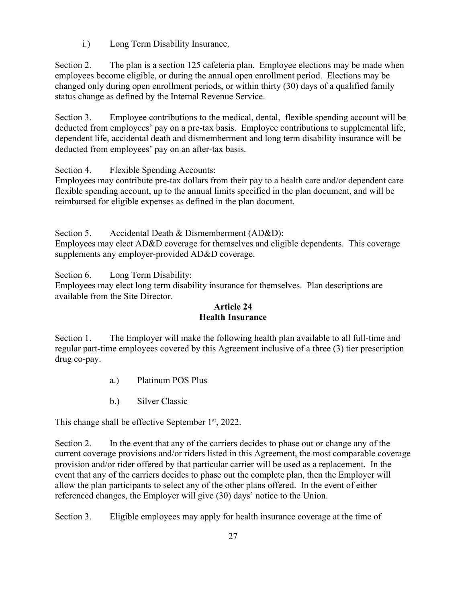i.) Long Term Disability Insurance.

Section 2. The plan is a section 125 cafeteria plan. Employee elections may be made when employees become eligible, or during the annual open enrollment period. Elections may be changed only during open enrollment periods, or within thirty (30) days of a qualified family status change as defined by the Internal Revenue Service.

Section 3. Employee contributions to the medical, dental, flexible spending account will be deducted from employees' pay on a pre-tax basis. Employee contributions to supplemental life, dependent life, accidental death and dismemberment and long term disability insurance will be deducted from employees' pay on an after-tax basis.

Section 4. Flexible Spending Accounts:

Employees may contribute pre-tax dollars from their pay to a health care and/or dependent care flexible spending account, up to the annual limits specified in the plan document, and will be reimbursed for eligible expenses as defined in the plan document.

Section 5. Accidental Death & Dismemberment (AD&D):

Employees may elect AD&D coverage for themselves and eligible dependents. This coverage supplements any employer-provided AD&D coverage.

Section 6. Long Term Disability:

Employees may elect long term disability insurance for themselves. Plan descriptions are available from the Site Director.

## **Article 24 Health Insurance**

Section 1. The Employer will make the following health plan available to all full-time and regular part-time employees covered by this Agreement inclusive of a three (3) tier prescription drug co-pay.

- a.) Platinum POS Plus
- b.) Silver Classic

This change shall be effective September  $1<sup>st</sup>$ , 2022.

Section 2. In the event that any of the carriers decides to phase out or change any of the current coverage provisions and/or riders listed in this Agreement, the most comparable coverage provision and/or rider offered by that particular carrier will be used as a replacement. In the event that any of the carriers decides to phase out the complete plan, then the Employer will allow the plan participants to select any of the other plans offered. In the event of either referenced changes, the Employer will give (30) days' notice to the Union.

Section 3. Eligible employees may apply for health insurance coverage at the time of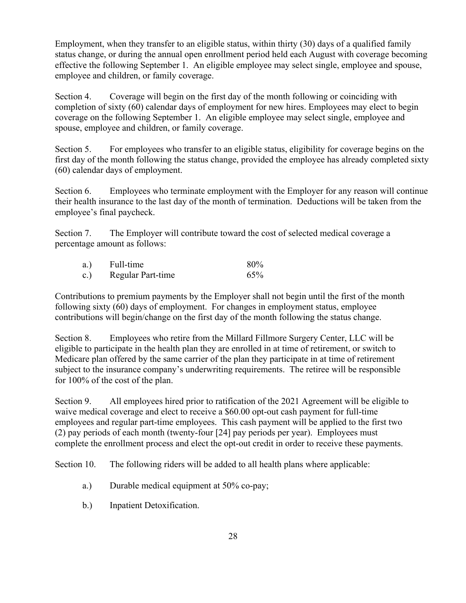Employment, when they transfer to an eligible status, within thirty (30) days of a qualified family status change, or during the annual open enrollment period held each August with coverage becoming effective the following September 1. An eligible employee may select single, employee and spouse, employee and children, or family coverage.

Section 4. Coverage will begin on the first day of the month following or coinciding with completion of sixty (60) calendar days of employment for new hires. Employees may elect to begin coverage on the following September 1. An eligible employee may select single, employee and spouse, employee and children, or family coverage.

Section 5. For employees who transfer to an eligible status, eligibility for coverage begins on the first day of the month following the status change, provided the employee has already completed sixty (60) calendar days of employment.

Section 6. Employees who terminate employment with the Employer for any reason will continue their health insurance to the last day of the month of termination. Deductions will be taken from the employee's final paycheck.

Section 7. The Employer will contribute toward the cost of selected medical coverage a percentage amount as follows:

| a.)             | Full-time         | 80% |
|-----------------|-------------------|-----|
| $\mathbf{c}$ .) | Regular Part-time | 65% |

Contributions to premium payments by the Employer shall not begin until the first of the month following sixty (60) days of employment. For changes in employment status, employee contributions will begin/change on the first day of the month following the status change.

Section 8. Employees who retire from the Millard Fillmore Surgery Center, LLC will be eligible to participate in the health plan they are enrolled in at time of retirement, or switch to Medicare plan offered by the same carrier of the plan they participate in at time of retirement subject to the insurance company's underwriting requirements. The retiree will be responsible for 100% of the cost of the plan.

Section 9. All employees hired prior to ratification of the 2021 Agreement will be eligible to waive medical coverage and elect to receive a \$60.00 opt-out cash payment for full-time employees and regular part-time employees. This cash payment will be applied to the first two (2) pay periods of each month (twenty-four [24] pay periods per year). Employees must complete the enrollment process and elect the opt-out credit in order to receive these payments.

Section 10. The following riders will be added to all health plans where applicable:

- a.) Durable medical equipment at 50% co-pay;
- b.) Inpatient Detoxification.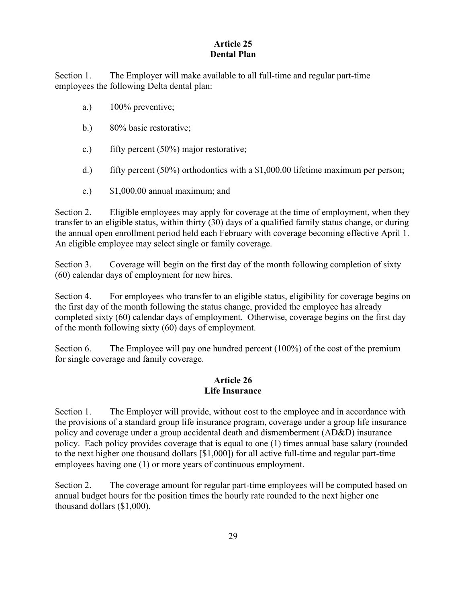## **Article 25 Dental Plan**

Section 1. The Employer will make available to all full-time and regular part-time employees the following Delta dental plan:

- a.) 100% preventive;
- b.) 80% basic restorative;
- c.) fifty percent (50%) major restorative;
- d.) fifty percent (50%) orthodontics with a \$1,000.00 lifetime maximum per person;
- e.) \$1,000.00 annual maximum; and

Section 2. Eligible employees may apply for coverage at the time of employment, when they transfer to an eligible status, within thirty (30) days of a qualified family status change, or during the annual open enrollment period held each February with coverage becoming effective April 1. An eligible employee may select single or family coverage.

Section 3. Coverage will begin on the first day of the month following completion of sixty (60) calendar days of employment for new hires.

Section 4. For employees who transfer to an eligible status, eligibility for coverage begins on the first day of the month following the status change, provided the employee has already completed sixty (60) calendar days of employment. Otherwise, coverage begins on the first day of the month following sixty (60) days of employment.

Section 6. The Employee will pay one hundred percent (100%) of the cost of the premium for single coverage and family coverage.

#### **Article 26 Life Insurance**

Section 1. The Employer will provide, without cost to the employee and in accordance with the provisions of a standard group life insurance program, coverage under a group life insurance policy and coverage under a group accidental death and dismemberment (AD&D) insurance policy. Each policy provides coverage that is equal to one (1) times annual base salary (rounded to the next higher one thousand dollars [\$1,000]) for all active full-time and regular part-time employees having one (1) or more years of continuous employment.

Section 2. The coverage amount for regular part-time employees will be computed based on annual budget hours for the position times the hourly rate rounded to the next higher one thousand dollars (\$1,000).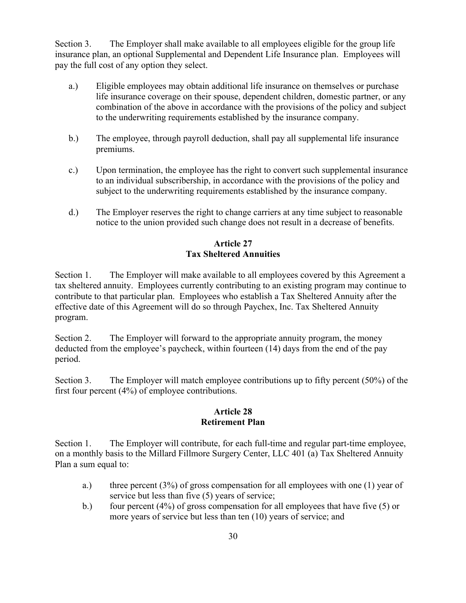Section 3. The Employer shall make available to all employees eligible for the group life insurance plan, an optional Supplemental and Dependent Life Insurance plan. Employees will pay the full cost of any option they select.

- a.) Eligible employees may obtain additional life insurance on themselves or purchase life insurance coverage on their spouse, dependent children, domestic partner, or any combination of the above in accordance with the provisions of the policy and subject to the underwriting requirements established by the insurance company.
- b.) The employee, through payroll deduction, shall pay all supplemental life insurance premiums.
- c.) Upon termination, the employee has the right to convert such supplemental insurance to an individual subscribership, in accordance with the provisions of the policy and subject to the underwriting requirements established by the insurance company.
- d.) The Employer reserves the right to change carriers at any time subject to reasonable notice to the union provided such change does not result in a decrease of benefits.

## **Article 27 Tax Sheltered Annuities**

Section 1. The Employer will make available to all employees covered by this Agreement a tax sheltered annuity. Employees currently contributing to an existing program may continue to contribute to that particular plan. Employees who establish a Tax Sheltered Annuity after the effective date of this Agreement will do so through Paychex, Inc. Tax Sheltered Annuity program.

Section 2. The Employer will forward to the appropriate annuity program, the money deducted from the employee's paycheck, within fourteen (14) days from the end of the pay period.

Section 3. The Employer will match employee contributions up to fifty percent (50%) of the first four percent (4%) of employee contributions.

#### **Article 28 Retirement Plan**

Section 1. The Employer will contribute, for each full-time and regular part-time employee, on a monthly basis to the Millard Fillmore Surgery Center, LLC 401 (a) Tax Sheltered Annuity Plan a sum equal to:

- a.) three percent  $(3\%)$  of gross compensation for all employees with one (1) year of service but less than five (5) years of service;
- b.) four percent (4%) of gross compensation for all employees that have five (5) or more years of service but less than ten (10) years of service; and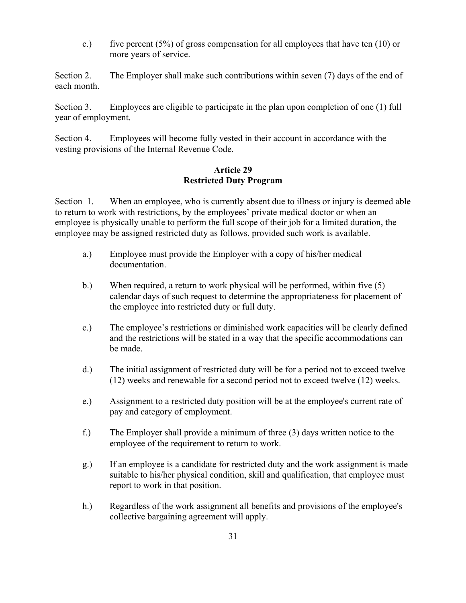c.) five percent  $(5%)$  of gross compensation for all employees that have ten  $(10)$  or more years of service.

Section 2. The Employer shall make such contributions within seven (7) days of the end of each month.

Section 3. Employees are eligible to participate in the plan upon completion of one (1) full year of employment.

Section 4. Employees will become fully vested in their account in accordance with the vesting provisions of the Internal Revenue Code.

#### **Article 29 Restricted Duty Program**

Section 1. When an employee, who is currently absent due to illness or injury is deemed able to return to work with restrictions, by the employees' private medical doctor or when an employee is physically unable to perform the full scope of their job for a limited duration, the employee may be assigned restricted duty as follows, provided such work is available.

- a.) Employee must provide the Employer with a copy of his/her medical documentation.
- b.) When required, a return to work physical will be performed, within five (5) calendar days of such request to determine the appropriateness for placement of the employee into restricted duty or full duty.
- c.) The employee's restrictions or diminished work capacities will be clearly defined and the restrictions will be stated in a way that the specific accommodations can be made.
- d.) The initial assignment of restricted duty will be for a period not to exceed twelve (12) weeks and renewable for a second period not to exceed twelve (12) weeks.
- e.) Assignment to a restricted duty position will be at the employee's current rate of pay and category of employment.
- f.) The Employer shall provide a minimum of three (3) days written notice to the employee of the requirement to return to work.
- g.) If an employee is a candidate for restricted duty and the work assignment is made suitable to his/her physical condition, skill and qualification, that employee must report to work in that position.
- h.) Regardless of the work assignment all benefits and provisions of the employee's collective bargaining agreement will apply.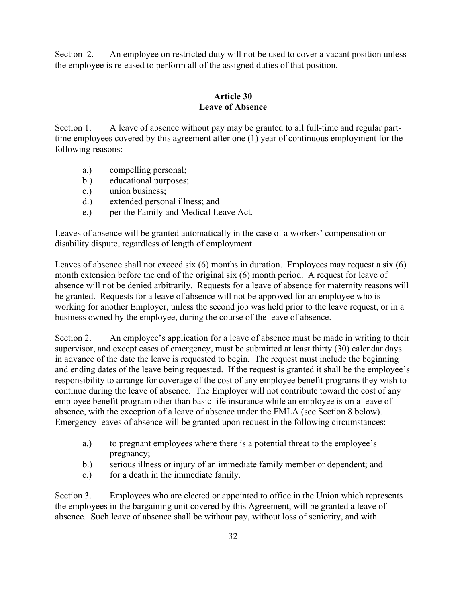Section 2. An employee on restricted duty will not be used to cover a vacant position unless the employee is released to perform all of the assigned duties of that position.

## **Article 30 Leave of Absence**

Section 1. A leave of absence without pay may be granted to all full-time and regular parttime employees covered by this agreement after one (1) year of continuous employment for the following reasons:

- a.) compelling personal;
- b.) educational purposes;
- c.) union business;
- d.) extended personal illness; and
- e.) per the Family and Medical Leave Act.

Leaves of absence will be granted automatically in the case of a workers' compensation or disability dispute, regardless of length of employment.

Leaves of absence shall not exceed six (6) months in duration. Employees may request a six (6) month extension before the end of the original six (6) month period. A request for leave of absence will not be denied arbitrarily. Requests for a leave of absence for maternity reasons will be granted. Requests for a leave of absence will not be approved for an employee who is working for another Employer, unless the second job was held prior to the leave request, or in a business owned by the employee, during the course of the leave of absence.

Section 2. An employee's application for a leave of absence must be made in writing to their supervisor, and except cases of emergency, must be submitted at least thirty (30) calendar days in advance of the date the leave is requested to begin. The request must include the beginning and ending dates of the leave being requested. If the request is granted it shall be the employee's responsibility to arrange for coverage of the cost of any employee benefit programs they wish to continue during the leave of absence. The Employer will not contribute toward the cost of any employee benefit program other than basic life insurance while an employee is on a leave of absence, with the exception of a leave of absence under the FMLA (see Section 8 below). Emergency leaves of absence will be granted upon request in the following circumstances:

- a.) to pregnant employees where there is a potential threat to the employee's pregnancy;
- b.) serious illness or injury of an immediate family member or dependent; and
- c.) for a death in the immediate family.

Section 3. Employees who are elected or appointed to office in the Union which represents the employees in the bargaining unit covered by this Agreement, will be granted a leave of absence. Such leave of absence shall be without pay, without loss of seniority, and with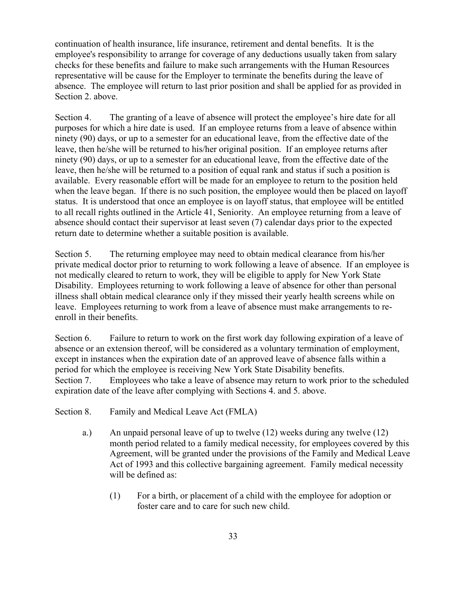continuation of health insurance, life insurance, retirement and dental benefits. It is the employee's responsibility to arrange for coverage of any deductions usually taken from salary checks for these benefits and failure to make such arrangements with the Human Resources representative will be cause for the Employer to terminate the benefits during the leave of absence. The employee will return to last prior position and shall be applied for as provided in Section 2. above.

Section 4. The granting of a leave of absence will protect the employee's hire date for all purposes for which a hire date is used. If an employee returns from a leave of absence within ninety (90) days, or up to a semester for an educational leave, from the effective date of the leave, then he/she will be returned to his/her original position. If an employee returns after ninety (90) days, or up to a semester for an educational leave, from the effective date of the leave, then he/she will be returned to a position of equal rank and status if such a position is available. Every reasonable effort will be made for an employee to return to the position held when the leave began. If there is no such position, the employee would then be placed on layoff status. It is understood that once an employee is on layoff status, that employee will be entitled to all recall rights outlined in the Article 41, Seniority. An employee returning from a leave of absence should contact their supervisor at least seven (7) calendar days prior to the expected return date to determine whether a suitable position is available.

Section 5. The returning employee may need to obtain medical clearance from his/her private medical doctor prior to returning to work following a leave of absence. If an employee is not medically cleared to return to work, they will be eligible to apply for New York State Disability. Employees returning to work following a leave of absence for other than personal illness shall obtain medical clearance only if they missed their yearly health screens while on leave. Employees returning to work from a leave of absence must make arrangements to reenroll in their benefits.

Section 6. Failure to return to work on the first work day following expiration of a leave of absence or an extension thereof, will be considered as a voluntary termination of employment, except in instances when the expiration date of an approved leave of absence falls within a period for which the employee is receiving New York State Disability benefits. Section 7. Employees who take a leave of absence may return to work prior to the scheduled expiration date of the leave after complying with Sections 4. and 5. above.

- Section 8. Family and Medical Leave Act (FMLA)
	- a.) An unpaid personal leave of up to twelve (12) weeks during any twelve (12) month period related to a family medical necessity, for employees covered by this Agreement, will be granted under the provisions of the Family and Medical Leave Act of 1993 and this collective bargaining agreement. Family medical necessity will be defined as:
		- (1) For a birth, or placement of a child with the employee for adoption or foster care and to care for such new child.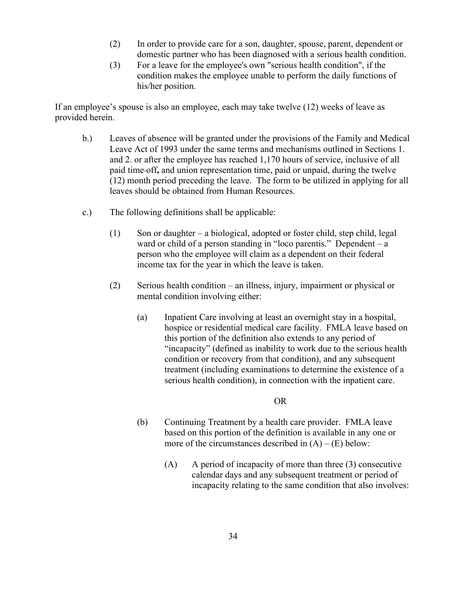- (2) In order to provide care for a son, daughter, spouse, parent, dependent or domestic partner who has been diagnosed with a serious health condition.
- (3) For a leave for the employee's own "serious health condition", if the condition makes the employee unable to perform the daily functions of his/her position.

If an employee's spouse is also an employee, each may take twelve (12) weeks of leave as provided herein.

- b.) Leaves of absence will be granted under the provisions of the Family and Medical Leave Act of 1993 under the same terms and mechanisms outlined in Sections 1. and 2. or after the employee has reached 1,170 hours of service, inclusive of all paid time off**,** and union representation time, paid or unpaid, during the twelve -(12) month period preceding the leave. The form to be utilized in applying for all leaves should be obtained from Human Resources.
- c.) The following definitions shall be applicable:
	- (1) Son or daughter a biological, adopted or foster child, step child, legal ward or child of a person standing in "loco parentis." Dependent – a person who the employee will claim as a dependent on their federal income tax for the year in which the leave is taken.
	- (2) Serious health condition an illness, injury, impairment or physical or mental condition involving either:
		- (a) Inpatient Care involving at least an overnight stay in a hospital, hospice or residential medical care facility. FMLA leave based on this portion of the definition also extends to any period of "incapacity" (defined as inability to work due to the serious health condition or recovery from that condition), and any subsequent treatment (including examinations to determine the existence of a serious health condition), in connection with the inpatient care.

## OR

- (b) Continuing Treatment by a health care provider. FMLA leave based on this portion of the definition is available in any one or more of the circumstances described in  $(A) - (E)$  below:
	- (A) A period of incapacity of more than three (3) consecutive calendar days and any subsequent treatment or period of incapacity relating to the same condition that also involves: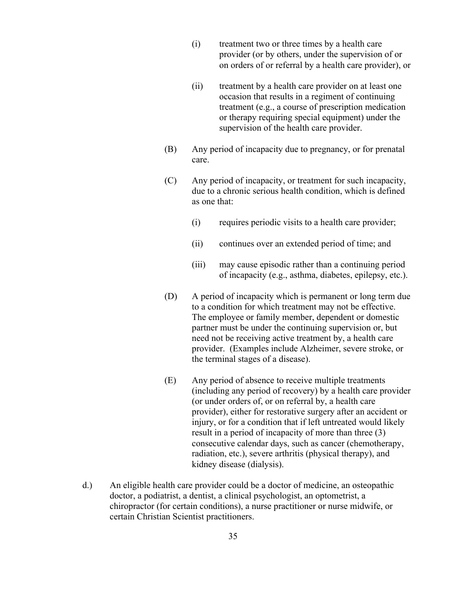- (i) treatment two or three times by a health care provider (or by others, under the supervision of or on orders of or referral by a health care provider), or
- (ii) treatment by a health care provider on at least one occasion that results in a regiment of continuing treatment (e.g., a course of prescription medication or therapy requiring special equipment) under the supervision of the health care provider.
- (B) Any period of incapacity due to pregnancy, or for prenatal care.
- (C) Any period of incapacity, or treatment for such incapacity, due to a chronic serious health condition, which is defined as one that:
	- (i) requires periodic visits to a health care provider;
	- (ii) continues over an extended period of time; and
	- (iii) may cause episodic rather than a continuing period of incapacity (e.g., asthma, diabetes, epilepsy, etc.).
- (D) A period of incapacity which is permanent or long term due to a condition for which treatment may not be effective. The employee or family member, dependent or domestic partner must be under the continuing supervision or, but need not be receiving active treatment by, a health care provider. (Examples include Alzheimer, severe stroke, or the terminal stages of a disease).
- (E) Any period of absence to receive multiple treatments (including any period of recovery) by a health care provider (or under orders of, or on referral by, a health care provider), either for restorative surgery after an accident or injury, or for a condition that if left untreated would likely result in a period of incapacity of more than three (3) consecutive calendar days, such as cancer (chemotherapy, radiation, etc.), severe arthritis (physical therapy), and kidney disease (dialysis).
- d.) An eligible health care provider could be a doctor of medicine, an osteopathic doctor, a podiatrist, a dentist, a clinical psychologist, an optometrist, a chiropractor (for certain conditions), a nurse practitioner or nurse midwife, or certain Christian Scientist practitioners.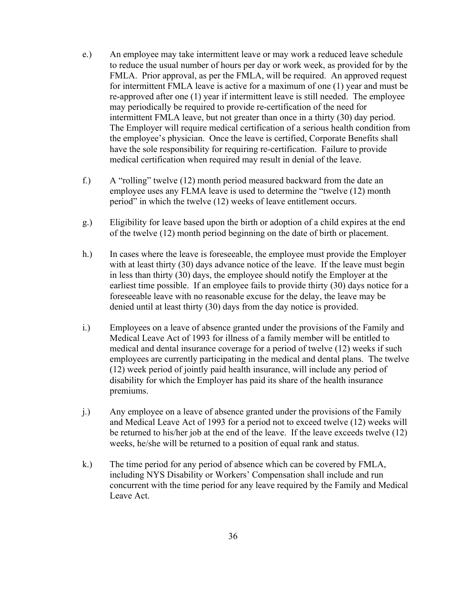- e.) An employee may take intermittent leave or may work a reduced leave schedule to reduce the usual number of hours per day or work week, as provided for by the FMLA. Prior approval, as per the FMLA, will be required.An approved request for intermittent FMLA leave is active for a maximum of one (1) year and must be re-approved after one (1) year if intermittent leave is still needed. The employee may periodically be required to provide re-certification of the need for intermittent FMLA leave, but not greater than once in a thirty (30) day period. The Employer will require medical certification of a serious health condition from the employee's physician. Once the leave is certified, Corporate Benefits shall have the sole responsibility for requiring re-certification. Failure to provide medical certification when required may result in denial of the leave.
- f.) A "rolling" twelve (12) month period measured backward from the date an employee uses any FLMA leave is used to determine the "twelve (12) month period" in which the twelve (12) weeks of leave entitlement occurs.
- g.) Eligibility for leave based upon the birth or adoption of a child expires at the end of the twelve (12) month period beginning on the date of birth or placement.
- h.) In cases where the leave is foreseeable, the employee must provide the Employer with at least thirty (30) days advance notice of the leave. If the leave must begin in less than thirty (30) days, the employee should notify the Employer at the earliest time possible. If an employee fails to provide thirty (30) days notice for a foreseeable leave with no reasonable excuse for the delay, the leave may be denied until at least thirty (30) days from the day notice is provided.
- i.) Employees on a leave of absence granted under the provisions of the Family and Medical Leave Act of 1993 for illness of a family member will be entitled to medical and dental insurance coverage for a period of twelve (12) weeks if such employees are currently participating in the medical and dental plans. The twelve (12) week period of jointly paid health insurance, will include any period of disability for which the Employer has paid its share of the health insurance premiums.
- j.) Any employee on a leave of absence granted under the provisions of the Family and Medical Leave Act of 1993 for a period not to exceed twelve (12) weeks will be returned to his/her job at the end of the leave. If the leave exceeds twelve (12) weeks, he/she will be returned to a position of equal rank and status.
- k.) The time period for any period of absence which can be covered by FMLA, including NYS Disability or Workers' Compensation shall include and run concurrent with the time period for any leave required by the Family and Medical Leave Act.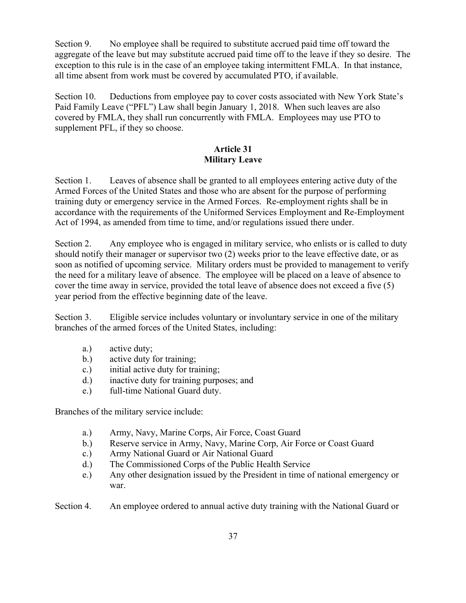Section 9. No employee shall be required to substitute accrued paid time off toward the aggregate of the leave but may substitute accrued paid time off to the leave if they so desire. The exception to this rule is in the case of an employee taking intermittent FMLA. In that instance, all time absent from work must be covered by accumulated PTO, if available.

Section 10. Deductions from employee pay to cover costs associated with New York State's Paid Family Leave ("PFL") Law shall begin January 1, 2018. When such leaves are also covered by FMLA, they shall run concurrently with FMLA. Employees may use PTO to supplement PFL, if they so choose.

## **Article 31 Military Leave**

Section 1. Leaves of absence shall be granted to all employees entering active duty of the Armed Forces of the United States and those who are absent for the purpose of performing training duty or emergency service in the Armed Forces. Re-employment rights shall be in accordance with the requirements of the Uniformed Services Employment and Re-Employment Act of 1994, as amended from time to time, and/or regulations issued there under.

Section 2. Any employee who is engaged in military service, who enlists or is called to duty should notify their manager or supervisor two (2) weeks prior to the leave effective date, or as soon as notified of upcoming service. Military orders must be provided to management to verify the need for a military leave of absence. The employee will be placed on a leave of absence to cover the time away in service, provided the total leave of absence does not exceed a five (5) year period from the effective beginning date of the leave.

Section 3. Eligible service includes voluntary or involuntary service in one of the military branches of the armed forces of the United States, including:

- a.) active duty;
- b.) active duty for training;
- c.) initial active duty for training;
- d.) inactive duty for training purposes; and
- e.) full-time National Guard duty.

Branches of the military service include:

- a.) Army, Navy, Marine Corps, Air Force, Coast Guard
- b.) Reserve service in Army, Navy, Marine Corp, Air Force or Coast Guard
- c.) Army National Guard or Air National Guard
- d.) The Commissioned Corps of the Public Health Service
- e.) Any other designation issued by the President in time of national emergency or war.

Section 4. An employee ordered to annual active duty training with the National Guard or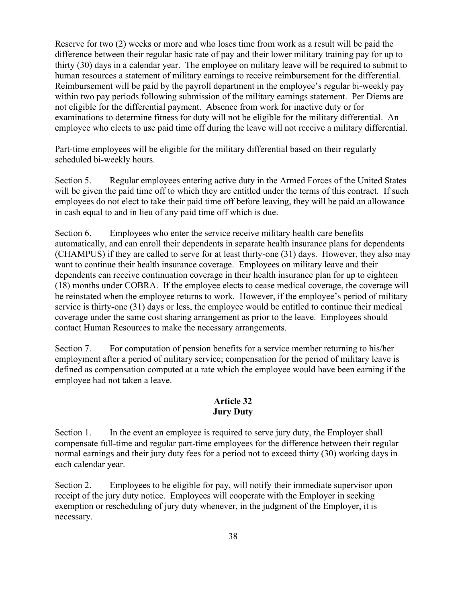Reserve for two (2) weeks or more and who loses time from work as a result will be paid the difference between their regular basic rate of pay and their lower military training pay for up to thirty (30) days in a calendar year. The employee on military leave will be required to submit to human resources a statement of military earnings to receive reimbursement for the differential. Reimbursement will be paid by the payroll department in the employee's regular bi-weekly pay within two pay periods following submission of the military earnings statement. Per Diems are not eligible for the differential payment. Absence from work for inactive duty or for examinations to determine fitness for duty will not be eligible for the military differential. An employee who elects to use paid time off during the leave will not receive a military differential.

Part-time employees will be eligible for the military differential based on their regularly scheduled bi-weekly hours.

Section 5. Regular employees entering active duty in the Armed Forces of the United States will be given the paid time off to which they are entitled under the terms of this contract. If such employees do not elect to take their paid time off before leaving, they will be paid an allowance in cash equal to and in lieu of any paid time off which is due.

Section 6. Employees who enter the service receive military health care benefits automatically, and can enroll their dependents in separate health insurance plans for dependents (CHAMPUS) if they are called to serve for at least thirty-one (31) days. However, they also may want to continue their health insurance coverage. Employees on military leave and their dependents can receive continuation coverage in their health insurance plan for up to eighteen (18) months under COBRA. If the employee elects to cease medical coverage, the coverage will be reinstated when the employee returns to work. However, if the employee's period of military service is thirty-one (31) days or less, the employee would be entitled to continue their medical coverage under the same cost sharing arrangement as prior to the leave. Employees should contact Human Resources to make the necessary arrangements.

Section 7. For computation of pension benefits for a service member returning to his/her employment after a period of military service; compensation for the period of military leave is defined as compensation computed at a rate which the employee would have been earning if the employee had not taken a leave.

#### **Article 32 Jury Duty**

Section 1. In the event an employee is required to serve jury duty, the Employer shall compensate full-time and regular part-time employees for the difference between their regular normal earnings and their jury duty fees for a period not to exceed thirty (30) working days in each calendar year.

Section 2. Employees to be eligible for pay, will notify their immediate supervisor upon receipt of the jury duty notice. Employees will cooperate with the Employer in seeking exemption or rescheduling of jury duty whenever, in the judgment of the Employer, it is necessary.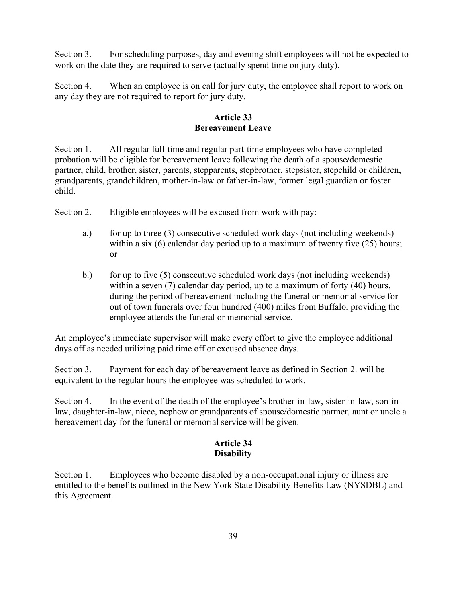Section 3. For scheduling purposes, day and evening shift employees will not be expected to work on the date they are required to serve (actually spend time on jury duty).

Section 4. When an employee is on call for jury duty, the employee shall report to work on any day they are not required to report for jury duty.

#### **Article 33 Bereavement Leave**

Section 1. All regular full-time and regular part-time employees who have completed probation will be eligible for bereavement leave following the death of a spouse**/**domestic partner, child, brother, sister, parents, stepparents, stepbrother, stepsister, stepchild or children, grandparents, grandchildren, mother-in-law or father-in-law, former legal guardian or foster child.

Section 2. Eligible employees will be excused from work with pay:

- a.) for up to three (3) consecutive scheduled work days (not including weekends) within a six (6) calendar day period up to a maximum of twenty five (25) hours; or
- b.) for up to five  $(5)$  consecutive scheduled work days (not including weekends) within a seven (7) calendar day period, up to a maximum of forty (40) hours, during the period of bereavement including the funeral or memorial service for out of town funerals over four hundred (400) miles from Buffalo, providing the employee attends the funeral or memorial service.

An employee's immediate supervisor will make every effort to give the employee additional days off as needed utilizing paid time off or excused absence days.

Section 3. Payment for each day of bereavement leave as defined in Section 2. will be equivalent to the regular hours the employee was scheduled to work.

Section 4. In the event of the death of the employee's brother-in-law, sister-in-law, son-inlaw, daughter-in-law, niece, nephew or grandparents of spouse/domestic partner, aunt or uncle a bereavement day for the funeral or memorial service will be given.

## **Article 34 Disability**

Section 1. Employees who become disabled by a non-occupational injury or illness are entitled to the benefits outlined in the New York State Disability Benefits Law (NYSDBL) and this Agreement.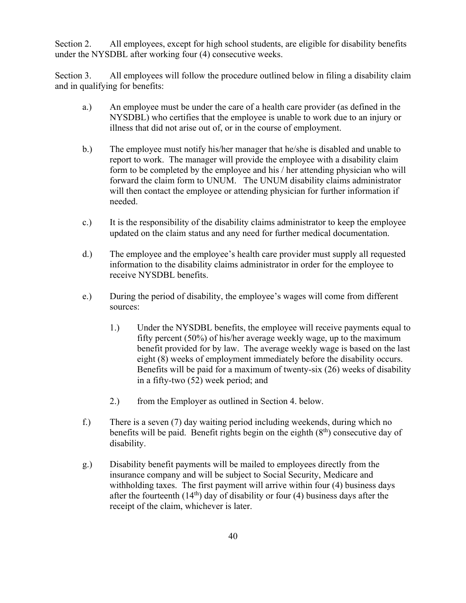Section 2. All employees, except for high school students, are eligible for disability benefits under the NYSDBL after working four (4) consecutive weeks.

Section 3. All employees will follow the procedure outlined below in filing a disability claim and in qualifying for benefits:

- a.) An employee must be under the care of a health care provider (as defined in the NYSDBL) who certifies that the employee is unable to work due to an injury or illness that did not arise out of, or in the course of employment.
- b.) The employee must notify his/her manager that he/she is disabled and unable to report to work. The manager will provide the employee with a disability claim form to be completed by the employee and his / her attending physician who will forward the claim form to UNUM. The UNUM disability claims administrator will then contact the employee or attending physician for further information if needed.
- c.) It is the responsibility of the disability claims administrator to keep the employee updated on the claim status and any need for further medical documentation.
- d.) The employee and the employee's health care provider must supply all requested information to the disability claims administrator in order for the employee to receive NYSDBL benefits.
- e.) During the period of disability, the employee's wages will come from different sources:
	- 1.) Under the NYSDBL benefits, the employee will receive payments equal to fifty percent (50%) of his/her average weekly wage, up to the maximum benefit provided for by law. The average weekly wage is based on the last eight (8) weeks of employment immediately before the disability occurs. Benefits will be paid for a maximum of twenty-six (26) weeks of disability in a fifty-two (52) week period; and
	- 2.) from the Employer as outlined in Section 4. below.
- f.) There is a seven (7) day waiting period including weekends, during which no benefits will be paid. Benefit rights begin on the eighth  $(8<sup>th</sup>)$  consecutive day of disability.
- g.) Disability benefit payments will be mailed to employees directly from the insurance company and will be subject to Social Security, Medicare and withholding taxes. The first payment will arrive within four (4) business days after the fourteenth  $(14<sup>th</sup>)$  day of disability or four (4) business days after the receipt of the claim, whichever is later.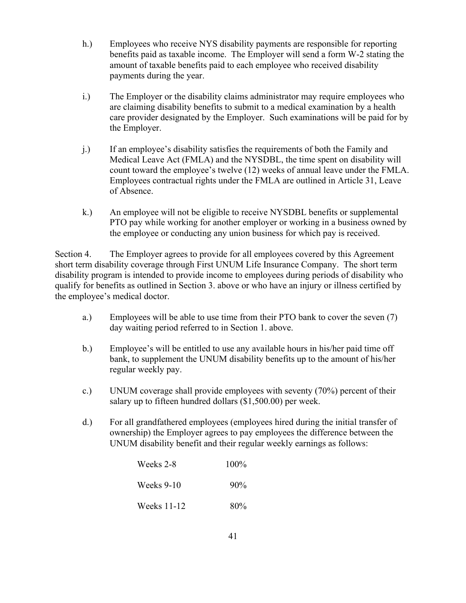- h.) Employees who receive NYS disability payments are responsible for reporting benefits paid as taxable income. The Employer will send a form W-2 stating the amount of taxable benefits paid to each employee who received disability payments during the year.
- i.) The Employer or the disability claims administrator may require employees who are claiming disability benefits to submit to a medical examination by a health care provider designated by the Employer. Such examinations will be paid for by the Employer.
- j.) If an employee's disability satisfies the requirements of both the Family and Medical Leave Act (FMLA) and the NYSDBL, the time spent on disability will count toward the employee's twelve (12) weeks of annual leave under the FMLA. Employees contractual rights under the FMLA are outlined in Article 31, Leave of Absence.
- k.) An employee will not be eligible to receive NYSDBL benefits or supplemental PTO pay while working for another employer or working in a business owned by the employee or conducting any union business for which pay is received.

Section 4. The Employer agrees to provide for all employees covered by this Agreement short term disability coverage through First UNUM Life Insurance Company. The short term disability program is intended to provide income to employees during periods of disability who qualify for benefits as outlined in Section 3. above or who have an injury or illness certified by the employee's medical doctor.

- a.) Employees will be able to use time from their PTO bank to cover the seven (7) day waiting period referred to in Section 1. above.
- b.) Employee's will be entitled to use any available hours in his/her paid time off bank, to supplement the UNUM disability benefits up to the amount of his/her regular weekly pay.
- c.) UNUM coverage shall provide employees with seventy (70%) percent of their salary up to fifteen hundred dollars (\$1,500.00) per week.
- d.) For all grandfathered employees (employees hired during the initial transfer of ownership) the Employer agrees to pay employees the difference between the UNUM disability benefit and their regular weekly earnings as follows:

| Weeks 2-8   | 100%   |
|-------------|--------|
| Weeks 9-10  | $90\%$ |
| Weeks 11-12 | 80%    |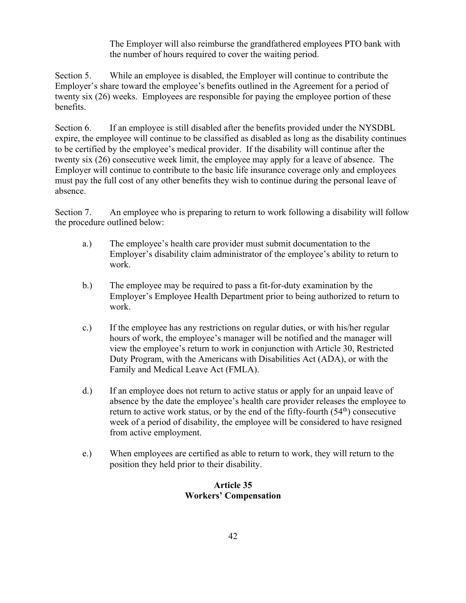The Employer will also reimburse the grandfathered employees PTO bank with the number of hours required to cover the waiting period.

Section 5. While an employee is disabled, the Employer will continue to contribute the Employer's share toward the employee's benefits outlined in the Agreement for a period of twenty six (26) weeks. Employees are responsible for paying the employee portion of these benefits.

Section 6. If an employee is still disabled after the benefits provided under the NYSDBL expire, the employee will continue to be classified as disabled as long as the disability continues to be certified by the employee's medical provider. If the disability will continue after the twenty six (26) consecutive week limit, the employee may apply for a leave of absence. The Employer will continue to contribute to the basic life insurance coverage only and employees must pay the full cost of any other benefits they wish to continue during the personal leave of absence.

Section 7. An employee who is preparing to return to work following a disability will follow the procedure outlined below:

- a.) The employee's health care provider must submit documentation to the Employer's disability claim administrator of the employee's ability to return to work.
- b.) The employee may be required to pass a fit-for-duty examination by the Employer's Employee Health Department prior to being authorized to return to work.
- c.) If the employee has any restrictions on regular duties, or with his/her regular hours of work, the employee's manager will be notified and the manager will view the employee's return to work in conjunction with Article 30, Restricted Duty Program, with the Americans with Disabilities Act (ADA), or with the Family and Medical Leave Act (FMLA).
- d.) If an employee does not return to active status or apply for an unpaid leave of absence by the date the employee's health care provider releases the employee to return to active work status, or by the end of the fifty-fourth  $(54<sup>th</sup>)$  consecutive week of a period of disability, the employee will be considered to have resigned from active employment.
- e.) When employees are certified as able to return to work, they will return to the position they held prior to their disability.

## **Article 35 Workers' Compensation**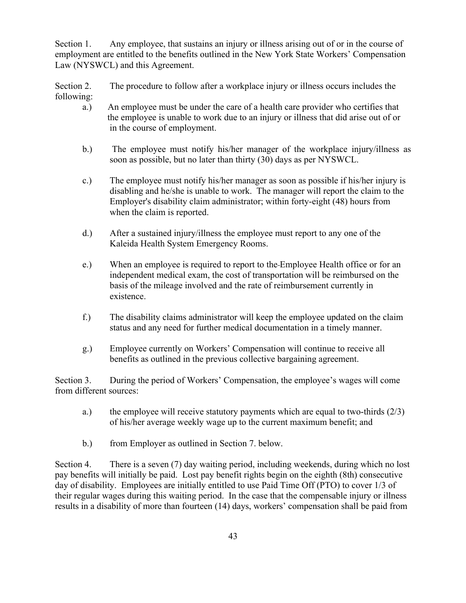Section 1. Any employee, that sustains an injury or illness arising out of or in the course of employment are entitled to the benefits outlined in the New York State Workers' Compensation Law (NYSWCL) and this Agreement.

Section 2. The procedure to follow after a workplace injury or illness occurs includes the following:

- a.) An employee must be under the care of a health care provider who certifies that the employee is unable to work due to an injury or illness that did arise out of or in the course of employment.
- b.) The employee must notify his/her manager of the workplace injury/illness as soon as possible, but no later than thirty (30) days as per NYSWCL.
- c.) The employee must notify his/her manager as soon as possible if his/her injury is disabling and he/she is unable to work. The manager will report the claim to the Employer's disability claim administrator; within forty-eight (48) hours from when the claim is reported.
- d.) After a sustained injury/illness the employee must report to any one of the Kaleida Health System Emergency Rooms.
- e.) When an employee is required to report to the-Employee Health office or for an independent medical exam, the cost of transportation will be reimbursed on the basis of the mileage involved and the rate of reimbursement currently in existence.
- f.) The disability claims administrator will keep the employee updated on the claim status and any need for further medical documentation in a timely manner.
- g.) Employee currently on Workers' Compensation will continue to receive all benefits as outlined in the previous collective bargaining agreement.

Section 3. During the period of Workers' Compensation, the employee's wages will come from different sources:

- a.) the employee will receive statutory payments which are equal to two-thirds  $(2/3)$ of his/her average weekly wage up to the current maximum benefit; and
- b.) from Employer as outlined in Section 7. below.

Section 4. There is a seven (7) day waiting period, including weekends, during which no lost pay benefits will initially be paid. Lost pay benefit rights begin on the eighth (8th) consecutive day of disability. Employees are initially entitled to use Paid Time Off (PTO) to cover 1/3 of their regular wages during this waiting period. In the case that the compensable injury or illness results in a disability of more than fourteen (14) days, workers' compensation shall be paid from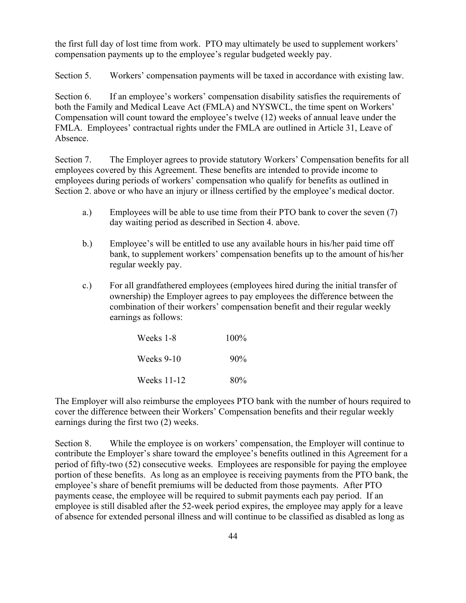the first full day of lost time from work. PTO may ultimately be used to supplement workers' compensation payments up to the employee's regular budgeted weekly pay.

Section 5. Workers' compensation payments will be taxed in accordance with existing law.

Section 6. If an employee's workers' compensation disability satisfies the requirements of both the Family and Medical Leave Act (FMLA) and NYSWCL, the time spent on Workers' Compensation will count toward the employee's twelve (12) weeks of annual leave under the FMLA. Employees' contractual rights under the FMLA are outlined in Article 31, Leave of Absence.

Section 7. The Employer agrees to provide statutory Workers' Compensation benefits for all employees covered by this Agreement. These benefits are intended to provide income to employees during periods of workers' compensation who qualify for benefits as outlined in Section 2. above or who have an injury or illness certified by the employee's medical doctor.

- a.) Employees will be able to use time from their PTO bank to cover the seven (7) day waiting period as described in Section 4. above.
- b.) Employee's will be entitled to use any available hours in his/her paid time off bank, to supplement workers' compensation benefits up to the amount of his/her regular weekly pay.
- c.) For all grandfathered employees (employees hired during the initial transfer of ownership) the Employer agrees to pay employees the difference between the combination of their workers' compensation benefit and their regular weekly earnings as follows:

| Weeks 1-8   | $100\%$ |
|-------------|---------|
| Weeks 9-10  | 90%     |
| Weeks 11-12 | 80%     |

The Employer will also reimburse the employees PTO bank with the number of hours required to cover the difference between their Workers' Compensation benefits and their regular weekly earnings during the first two (2) weeks.

Section 8. While the employee is on workers' compensation, the Employer will continue to contribute the Employer's share toward the employee's benefits outlined in this Agreement for a period of fifty-two (52) consecutive weeks. Employees are responsible for paying the employee portion of these benefits. As long as an employee is receiving payments from the PTO bank, the employee's share of benefit premiums will be deducted from those payments. After PTO payments cease, the employee will be required to submit payments each pay period. If an employee is still disabled after the 52-week period expires, the employee may apply for a leave of absence for extended personal illness and will continue to be classified as disabled as long as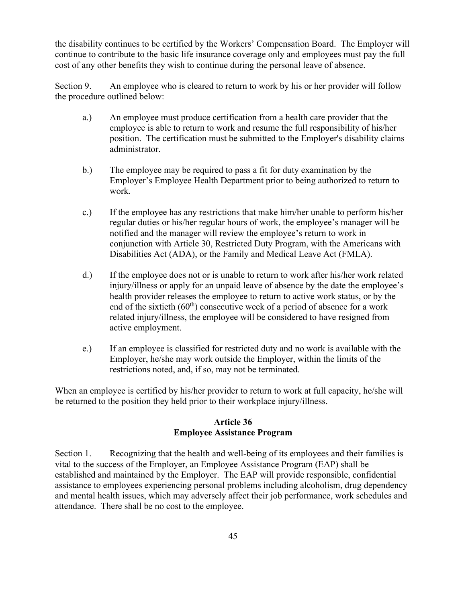the disability continues to be certified by the Workers' Compensation Board. The Employer will continue to contribute to the basic life insurance coverage only and employees must pay the full cost of any other benefits they wish to continue during the personal leave of absence.

Section 9. An employee who is cleared to return to work by his or her provider will follow the procedure outlined below:

- a.) An employee must produce certification from a health care provider that the employee is able to return to work and resume the full responsibility of his/her position. The certification must be submitted to the Employer's disability claims administrator.
- b.) The employee may be required to pass a fit for duty examination by the Employer's Employee Health Department prior to being authorized to return to work.
- c.) If the employee has any restrictions that make him/her unable to perform his/her regular duties or his/her regular hours of work, the employee's manager will be notified and the manager will review the employee's return to work in conjunction with Article 30, Restricted Duty Program, with the Americans with Disabilities Act (ADA), or the Family and Medical Leave Act (FMLA).
- d.) If the employee does not or is unable to return to work after his/her work related injury/illness or apply for an unpaid leave of absence by the date the employee's health provider releases the employee to return to active work status, or by the end of the sixtieth  $(60<sup>th</sup>)$  consecutive week of a period of absence for a work related injury/illness, the employee will be considered to have resigned from active employment.
- e.) If an employee is classified for restricted duty and no work is available with the Employer, he/she may work outside the Employer, within the limits of the restrictions noted, and, if so, may not be terminated.

When an employee is certified by his/her provider to return to work at full capacity, he/she will be returned to the position they held prior to their workplace injury/illness.

#### **Article 36 Employee Assistance Program**

Section 1. Recognizing that the health and well-being of its employees and their families is vital to the success of the Employer, an Employee Assistance Program (EAP) shall be established and maintained by the Employer. The EAP will provide responsible, confidential assistance to employees experiencing personal problems including alcoholism, drug dependency and mental health issues, which may adversely affect their job performance, work schedules and attendance. There shall be no cost to the employee.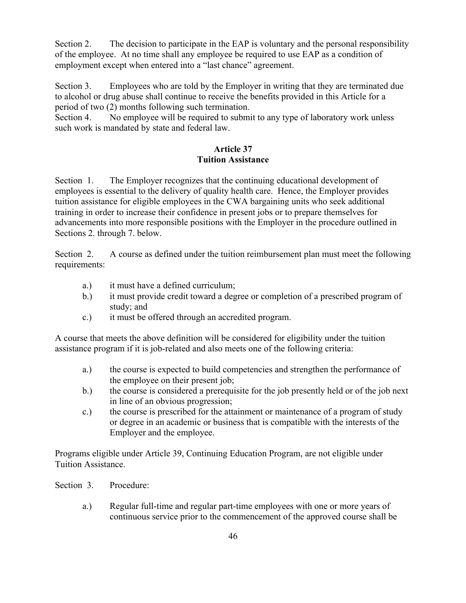Section 2. The decision to participate in the EAP is voluntary and the personal responsibility of the employee. At no time shall any employee be required to use EAP as a condition of employment except when entered into a "last chance" agreement.

Section 3. Employees who are told by the Employer in writing that they are terminated due to alcohol or drug abuse shall continue to receive the benefits provided in this Article for a period of two (2) months following such termination.

Section 4. No employee will be required to submit to any type of laboratory work unless such work is mandated by state and federal law.

## **Article 37 Tuition Assistance**

Section 1. The Employer recognizes that the continuing educational development of employees is essential to the delivery of quality health care. Hence, the Employer provides tuition assistance for eligible employees in the CWA bargaining units who seek additional training in order to increase their confidence in present jobs or to prepare themselves for advancements into more responsible positions with the Employer in the procedure outlined in Sections 2. through 7. below.

Section 2. A course as defined under the tuition reimbursement plan must meet the following requirements:

- a.) it must have a defined curriculum;
- b.) it must provide credit toward a degree or completion of a prescribed program of study; and
- c.) it must be offered through an accredited program.

A course that meets the above definition will be considered for eligibility under the tuition assistance program if it is job-related and also meets one of the following criteria:

- a.) the course is expected to build competencies and strengthen the performance of the employee on their present job;
- b.) the course is considered a prerequisite for the job presently held or of the job next in line of an obvious progression;
- c.) the course is prescribed for the attainment or maintenance of a program of study or degree in an academic or business that is compatible with the interests of the Employer and the employee.

Programs eligible under Article 39, Continuing Education Program, are not eligible under Tuition Assistance.

- Section 3. Procedure:
	- a.) Regular full-time and regular part-time employees with one or more years of continuous service prior to the commencement of the approved course shall be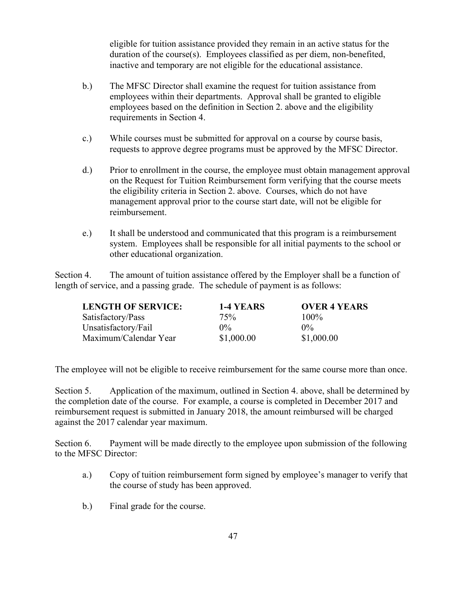eligible for tuition assistance provided they remain in an active status for the duration of the course(s). Employees classified as per diem, non-benefited, inactive and temporary are not eligible for the educational assistance.

- b.) The MFSC Director shall examine the request for tuition assistance from employees within their departments. Approval shall be granted to eligible employees based on the definition in Section 2. above and the eligibility requirements in Section 4.
- c.) While courses must be submitted for approval on a course by course basis, requests to approve degree programs must be approved by the MFSC Director.
- d.) Prior to enrollment in the course, the employee must obtain management approval on the Request for Tuition Reimbursement form verifying that the course meets the eligibility criteria in Section 2. above. Courses, which do not have management approval prior to the course start date, will not be eligible for reimbursement.
- e.) It shall be understood and communicated that this program is a reimbursement system. Employees shall be responsible for all initial payments to the school or other educational organization.

Section 4. The amount of tuition assistance offered by the Employer shall be a function of length of service, and a passing grade. The schedule of payment is as follows:

| <b>LENGTH OF SERVICE:</b> | 1-4 YEARS  | <b>OVER 4 YEARS</b> |
|---------------------------|------------|---------------------|
| Satisfactory/Pass         | 75%        | $100\%$             |
| Unsatisfactory/Fail       | $0\%$      | $0\%$               |
| Maximum/Calendar Year     | \$1,000.00 | \$1,000.00          |

The employee will not be eligible to receive reimbursement for the same course more than once.

Section 5. Application of the maximum, outlined in Section 4. above, shall be determined by the completion date of the course. For example, a course is completed in December 2017 and reimbursement request is submitted in January 2018, the amount reimbursed will be charged against the 2017 calendar year maximum.

Section 6. Payment will be made directly to the employee upon submission of the following to the MFSC Director:

- a.) Copy of tuition reimbursement form signed by employee's manager to verify that the course of study has been approved.
- b.) Final grade for the course.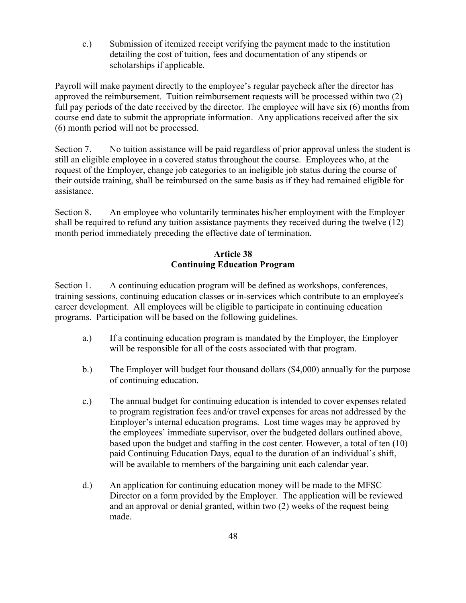c.) Submission of itemized receipt verifying the payment made to the institution detailing the cost of tuition, fees and documentation of any stipends or scholarships if applicable.

Payroll will make payment directly to the employee's regular paycheck after the director has approved the reimbursement. Tuition reimbursement requests will be processed within two (2) full pay periods of the date received by the director. The employee will have six (6) months from course end date to submit the appropriate information. Any applications received after the six (6) month period will not be processed.

Section 7. No tuition assistance will be paid regardless of prior approval unless the student is still an eligible employee in a covered status throughout the course. Employees who, at the request of the Employer, change job categories to an ineligible job status during the course of their outside training, shall be reimbursed on the same basis as if they had remained eligible for assistance.

Section 8. An employee who voluntarily terminates his/her employment with the Employer shall be required to refund any tuition assistance payments they received during the twelve (12) month period immediately preceding the effective date of termination.

## **Article 38 Continuing Education Program**

Section 1. A continuing education program will be defined as workshops, conferences, training sessions, continuing education classes or in-services which contribute to an employee's career development. All employees will be eligible to participate in continuing education programs. Participation will be based on the following guidelines.

- a.) If a continuing education program is mandated by the Employer, the Employer will be responsible for all of the costs associated with that program.
- b.) The Employer will budget four thousand dollars (\$4,000) annually for the purpose of continuing education.
- c.) The annual budget for continuing education is intended to cover expenses related to program registration fees and/or travel expenses for areas not addressed by the Employer's internal education programs. Lost time wages may be approved by the employees' immediate supervisor, over the budgeted dollars outlined above, based upon the budget and staffing in the cost center. However, a total of ten (10) paid Continuing Education Days, equal to the duration of an individual's shift, will be available to members of the bargaining unit each calendar year.
- d.) An application for continuing education money will be made to the MFSC Director on a form provided by the Employer. The application will be reviewed and an approval or denial granted, within two (2) weeks of the request being made.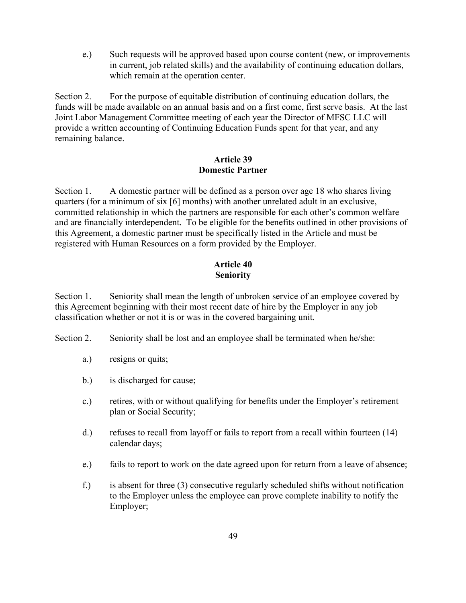e.) Such requests will be approved based upon course content (new, or improvements in current, job related skills) and the availability of continuing education dollars, which remain at the operation center.

Section 2. For the purpose of equitable distribution of continuing education dollars, the funds will be made available on an annual basis and on a first come, first serve basis. At the last Joint Labor Management Committee meeting of each year the Director of MFSC LLC will provide a written accounting of Continuing Education Funds spent for that year, and any remaining balance.

#### **Article 39 Domestic Partner**

Section 1. A domestic partner will be defined as a person over age 18 who shares living quarters (for a minimum of six [6] months) with another unrelated adult in an exclusive, committed relationship in which the partners are responsible for each other's common welfare and are financially interdependent. To be eligible for the benefits outlined in other provisions of this Agreement, a domestic partner must be specifically listed in the Article and must be registered with Human Resources on a form provided by the Employer.

## **Article 40 Seniority**

Section 1. Seniority shall mean the length of unbroken service of an employee covered by this Agreement beginning with their most recent date of hire by the Employer in any job classification whether or not it is or was in the covered bargaining unit.

Section 2. Seniority shall be lost and an employee shall be terminated when he/she:

- a.) resigns or quits;
- b.) is discharged for cause;
- c.) retires, with or without qualifying for benefits under the Employer's retirement plan or Social Security;
- d.) refuses to recall from layoff or fails to report from a recall within fourteen (14) calendar days;
- e.) fails to report to work on the date agreed upon for return from a leave of absence;
- f.) is absent for three (3) consecutive regularly scheduled shifts without notification to the Employer unless the employee can prove complete inability to notify the Employer;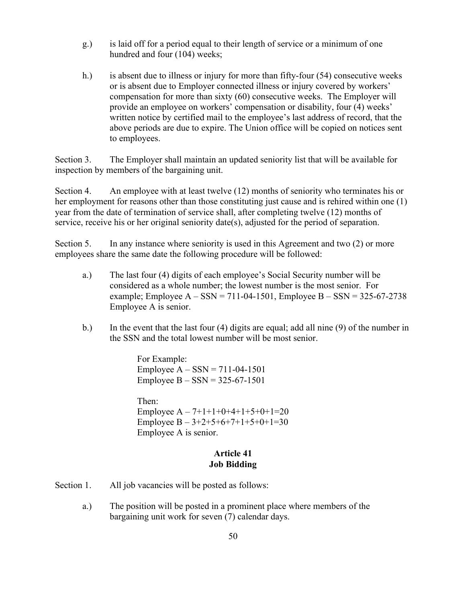- g.) is laid off for a period equal to their length of service or a minimum of one hundred and four (104) weeks;
- h.) is absent due to illness or injury for more than fifty-four (54) consecutive weeks or is absent due to Employer connected illness or injury covered by workers' compensation for more than sixty (60) consecutive weeks. The Employer will provide an employee on workers' compensation or disability, four (4) weeks' written notice by certified mail to the employee's last address of record, that the above periods are due to expire. The Union office will be copied on notices sent to employees.

Section 3. The Employer shall maintain an updated seniority list that will be available for inspection by members of the bargaining unit.

Section 4. An employee with at least twelve (12) months of seniority who terminates his or her employment for reasons other than those constituting just cause and is rehired within one (1) year from the date of termination of service shall, after completing twelve (12) months of service, receive his or her original seniority date(s), adjusted for the period of separation.

Section 5. In any instance where seniority is used in this Agreement and two (2) or more employees share the same date the following procedure will be followed:

- a.) The last four (4) digits of each employee's Social Security number will be considered as a whole number; the lowest number is the most senior. For example; Employee  $A - SSN = 711-04-1501$ , Employee  $B - SSN = 325-67-2738$ Employee A is senior.
- b.) In the event that the last four (4) digits are equal; add all nine (9) of the number in the SSN and the total lowest number will be most senior.

For Example: Employee  $A - SSN = 711 - 04 - 1501$ Employee B – SSN = 325-67-1501

Then: Employee  $A - 7+1+1+0+4+1+5+0+1=20$ Employee  $B - 3+2+5+6+7+1+5+0+1=30$ Employee A is senior.

## **Article 41 Job Bidding**

- Section 1. All job vacancies will be posted as follows:
	- a.) The position will be posted in a prominent place where members of the bargaining unit work for seven (7) calendar days.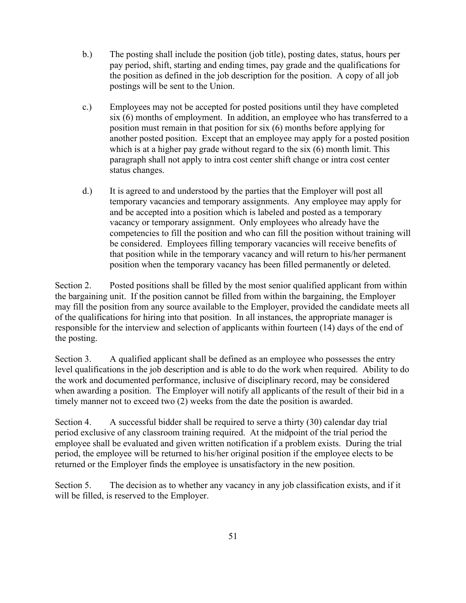- b.) The posting shall include the position (job title), posting dates, status, hours per pay period, shift, starting and ending times, pay grade and the qualifications for the position as defined in the job description for the position. A copy of all job postings will be sent to the Union.
- c.) Employees may not be accepted for posted positions until they have completed six (6) months of employment. In addition, an employee who has transferred to a position must remain in that position for six (6) months before applying for another posted position. Except that an employee may apply for a posted position which is at a higher pay grade without regard to the six (6) month limit. This paragraph shall not apply to intra cost center shift change or intra cost center status changes.
- d.) It is agreed to and understood by the parties that the Employer will post all temporary vacancies and temporary assignments. Any employee may apply for and be accepted into a position which is labeled and posted as a temporary vacancy or temporary assignment. Only employees who already have the competencies to fill the position and who can fill the position without training will be considered. Employees filling temporary vacancies will receive benefits of that position while in the temporary vacancy and will return to his/her permanent position when the temporary vacancy has been filled permanently or deleted.

Section 2. Posted positions shall be filled by the most senior qualified applicant from within the bargaining unit. If the position cannot be filled from within the bargaining, the Employer may fill the position from any source available to the Employer, provided the candidate meets all of the qualifications for hiring into that position. In all instances, the appropriate manager is responsible for the interview and selection of applicants within fourteen (14) days of the end of the posting.

Section 3. A qualified applicant shall be defined as an employee who possesses the entry level qualifications in the job description and is able to do the work when required. Ability to do the work and documented performance, inclusive of disciplinary record, may be considered when awarding a position. The Employer will notify all applicants of the result of their bid in a timely manner not to exceed two (2) weeks from the date the position is awarded.

Section 4. A successful bidder shall be required to serve a thirty (30) calendar day trial period exclusive of any classroom training required. At the midpoint of the trial period the employee shall be evaluated and given written notification if a problem exists. During the trial period, the employee will be returned to his/her original position if the employee elects to be returned or the Employer finds the employee is unsatisfactory in the new position.

Section 5. The decision as to whether any vacancy in any job classification exists, and if it will be filled, is reserved to the Employer.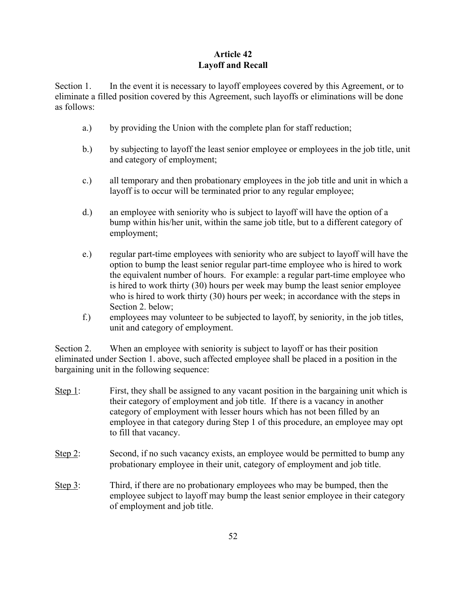## **Article 42 Layoff and Recall**

Section 1. In the event it is necessary to layoff employees covered by this Agreement, or to eliminate a filled position covered by this Agreement, such layoffs or eliminations will be done as follows:

- a.) by providing the Union with the complete plan for staff reduction;
- b.) by subjecting to layoff the least senior employee or employees in the job title, unit and category of employment;
- c.) all temporary and then probationary employees in the job title and unit in which a layoff is to occur will be terminated prior to any regular employee;
- d.) an employee with seniority who is subject to layoff will have the option of a bump within his/her unit, within the same job title, but to a different category of employment;
- e.) regular part-time employees with seniority who are subject to layoff will have the option to bump the least senior regular part-time employee who is hired to work the equivalent number of hours. For example: a regular part-time employee who is hired to work thirty (30) hours per week may bump the least senior employee who is hired to work thirty (30) hours per week; in accordance with the steps in Section 2. below;
- f.) employees may volunteer to be subjected to layoff, by seniority, in the job titles, unit and category of employment.

Section 2. When an employee with seniority is subject to layoff or has their position eliminated under Section 1. above, such affected employee shall be placed in a position in the bargaining unit in the following sequence:

- Step 1: First, they shall be assigned to any vacant position in the bargaining unit which is their category of employment and job title. If there is a vacancy in another category of employment with lesser hours which has not been filled by an employee in that category during Step 1 of this procedure, an employee may opt to fill that vacancy.
- Step 2: Second, if no such vacancy exists, an employee would be permitted to bump any probationary employee in their unit, category of employment and job title.
- Step 3: Third, if there are no probationary employees who may be bumped, then the employee subject to layoff may bump the least senior employee in their category of employment and job title.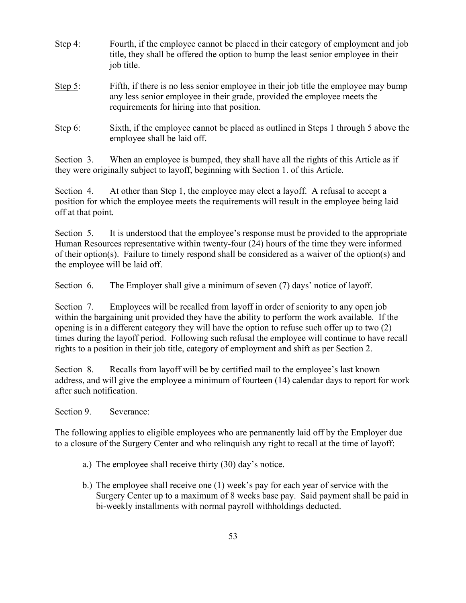| Step $4$ : | Fourth, if the employee cannot be placed in their category of employment and job<br>title, they shall be offered the option to bump the least senior employee in their<br>job title.                           |
|------------|----------------------------------------------------------------------------------------------------------------------------------------------------------------------------------------------------------------|
| Step $5$ : | Fifth, if there is no less senior employee in their job title the employee may bump<br>any less senior employee in their grade, provided the employee meets the<br>requirements for hiring into that position. |
| Step $6$ : | Sixth, if the employee cannot be placed as outlined in Steps 1 through 5 above the<br>employee shall be laid off.                                                                                              |

Section 3. When an employee is bumped, they shall have all the rights of this Article as if they were originally subject to layoff, beginning with Section 1. of this Article.

Section 4. At other than Step 1, the employee may elect a layoff. A refusal to accept a position for which the employee meets the requirements will result in the employee being laid off at that point.

Section 5. It is understood that the employee's response must be provided to the appropriate Human Resources representative within twenty-four (24) hours of the time they were informed of their option(s). Failure to timely respond shall be considered as a waiver of the option(s) and the employee will be laid off.

Section 6. The Employer shall give a minimum of seven (7) days' notice of layoff.

Section 7. Employees will be recalled from layoff in order of seniority to any open job within the bargaining unit provided they have the ability to perform the work available. If the opening is in a different category they will have the option to refuse such offer up to two (2) times during the layoff period. Following such refusal the employee will continue to have recall rights to a position in their job title, category of employment and shift as per Section 2.

Section 8. Recalls from layoff will be by certified mail to the employee's last known address, and will give the employee a minimum of fourteen (14) calendar days to report for work after such notification.

Section 9. Severance:

The following applies to eligible employees who are permanently laid off by the Employer due to a closure of the Surgery Center and who relinquish any right to recall at the time of layoff:

- a.) The employee shall receive thirty (30) day's notice.
- b.) The employee shall receive one (1) week's pay for each year of service with the Surgery Center up to a maximum of 8 weeks base pay. Said payment shall be paid in bi-weekly installments with normal payroll withholdings deducted.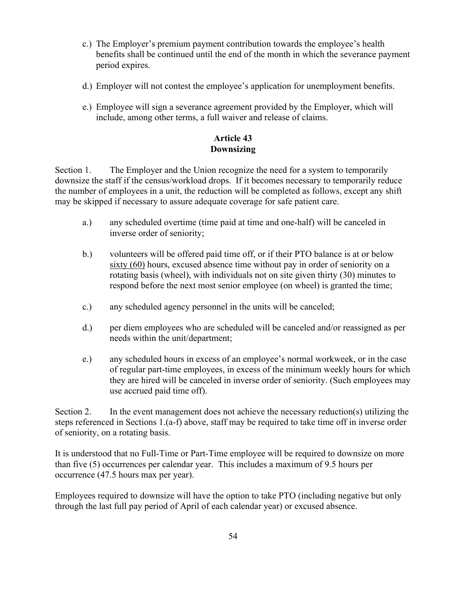- c.) The Employer's premium payment contribution towards the employee's health benefits shall be continued until the end of the month in which the severance payment period expires.
- d.) Employer will not contest the employee's application for unemployment benefits.
- e.) Employee will sign a severance agreement provided by the Employer, which will include, among other terms, a full waiver and release of claims.

## **Article 43 Downsizing**

Section 1. The Employer and the Union recognize the need for a system to temporarily downsize the staff if the census/workload drops. If it becomes necessary to temporarily reduce the number of employees in a unit, the reduction will be completed as follows, except any shift may be skipped if necessary to assure adequate coverage for safe patient care.

- a.) any scheduled overtime (time paid at time and one-half) will be canceled in inverse order of seniority;
- b.) volunteers will be offered paid time off, or if their PTO balance is at or below sixty (60) hours, excused absence time without pay in order of seniority on a rotating basis (wheel), with individuals not on site given thirty (30) minutes to respond before the next most senior employee (on wheel) is granted the time;
- c.) any scheduled agency personnel in the units will be canceled;
- d.) per diem employees who are scheduled will be canceled and/or reassigned as per needs within the unit/department;
- e.) any scheduled hours in excess of an employee's normal workweek, or in the case of regular part-time employees, in excess of the minimum weekly hours for which they are hired will be canceled in inverse order of seniority. (Such employees may use accrued paid time off).

Section 2. In the event management does not achieve the necessary reduction(s) utilizing the steps referenced in Sections 1.(a-f) above, staff may be required to take time off in inverse order of seniority, on a rotating basis.

It is understood that no Full-Time or Part-Time employee will be required to downsize on more than five (5) occurrences per calendar year. This includes a maximum of 9.5 hours per occurrence (47.5 hours max per year).

Employees required to downsize will have the option to take PTO (including negative but only through the last full pay period of April of each calendar year) or excused absence.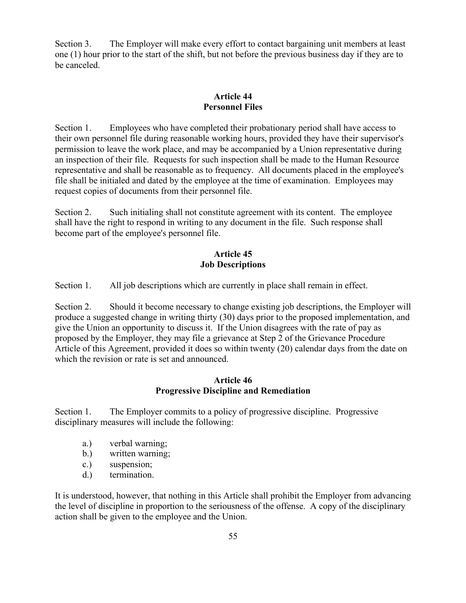Section 3. The Employer will make every effort to contact bargaining unit members at least one (1) hour prior to the start of the shift, but not before the previous business day if they are to be canceled.

## **Article 44 Personnel Files**

Section 1. Employees who have completed their probationary period shall have access to their own personnel file during reasonable working hours, provided they have their supervisor's permission to leave the work place, and may be accompanied by a Union representative during an inspection of their file. Requests for such inspection shall be made to the Human Resource representative and shall be reasonable as to frequency. All documents placed in the employee's file shall be initialed and dated by the employee at the time of examination. Employees may request copies of documents from their personnel file.

Section 2. Such initialing shall not constitute agreement with its content. The employee shall have the right to respond in writing to any document in the file. Such response shall become part of the employee's personnel file.

## **Article 45 Job Descriptions**

Section 1. All job descriptions which are currently in place shall remain in effect.

Section 2. Should it become necessary to change existing job descriptions, the Employer will produce a suggested change in writing thirty (30) days prior to the proposed implementation, and give the Union an opportunity to discuss it. If the Union disagrees with the rate of pay as proposed by the Employer, they may file a grievance at Step 2 of the Grievance Procedure Article of this Agreement, provided it does so within twenty (20) calendar days from the date on which the revision or rate is set and announced.

#### **Article 46 Progressive Discipline and Remediation**

Section 1. The Employer commits to a policy of progressive discipline. Progressive disciplinary measures will include the following:

- a.) verbal warning;
- b.) written warning;
- c.) suspension;
- d.) termination.

It is understood, however, that nothing in this Article shall prohibit the Employer from advancing the level of discipline in proportion to the seriousness of the offense. A copy of the disciplinary action shall be given to the employee and the Union.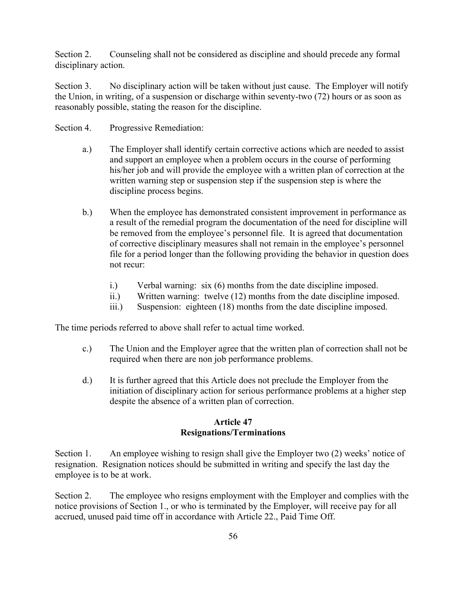Section 2. Counseling shall not be considered as discipline and should precede any formal disciplinary action.

Section 3. No disciplinary action will be taken without just cause. The Employer will notify the Union, in writing, of a suspension or discharge within seventy-two (72) hours or as soon as reasonably possible, stating the reason for the discipline.

- Section 4. Progressive Remediation:
	- a.) The Employer shall identify certain corrective actions which are needed to assist and support an employee when a problem occurs in the course of performing his/her job and will provide the employee with a written plan of correction at the written warning step or suspension step if the suspension step is where the discipline process begins.
	- b.) When the employee has demonstrated consistent improvement in performance as a result of the remedial program the documentation of the need for discipline will be removed from the employee's personnel file. It is agreed that documentation of corrective disciplinary measures shall not remain in the employee's personnel file for a period longer than the following providing the behavior in question does not recur:
		- i.) Verbal warning: six (6) months from the date discipline imposed.
		- ii.) Written warning: twelve (12) months from the date discipline imposed.
		- iii.) Suspension: eighteen (18) months from the date discipline imposed.

The time periods referred to above shall refer to actual time worked.

- c.) The Union and the Employer agree that the written plan of correction shall not be required when there are non job performance problems.
- d.) It is further agreed that this Article does not preclude the Employer from the initiation of disciplinary action for serious performance problems at a higher step despite the absence of a written plan of correction.

#### **Article 47 Resignations/Terminations**

Section 1. An employee wishing to resign shall give the Employer two (2) weeks' notice of resignation. Resignation notices should be submitted in writing and specify the last day the employee is to be at work.

Section 2. The employee who resigns employment with the Employer and complies with the notice provisions of Section 1., or who is terminated by the Employer, will receive pay for all accrued, unused paid time off in accordance with Article 22., Paid Time Off.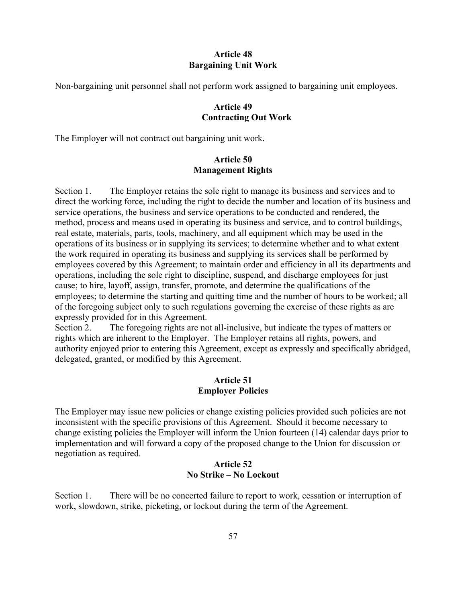#### **Article 48 Bargaining Unit Work**

Non-bargaining unit personnel shall not perform work assigned to bargaining unit employees.

#### **Article 49 Contracting Out Work**

The Employer will not contract out bargaining unit work.

#### **Article 50 Management Rights**

Section 1. The Employer retains the sole right to manage its business and services and to direct the working force, including the right to decide the number and location of its business and service operations, the business and service operations to be conducted and rendered, the method, process and means used in operating its business and service, and to control buildings, real estate, materials, parts, tools, machinery, and all equipment which may be used in the operations of its business or in supplying its services; to determine whether and to what extent the work required in operating its business and supplying its services shall be performed by employees covered by this Agreement; to maintain order and efficiency in all its departments and operations, including the sole right to discipline, suspend, and discharge employees for just cause; to hire, layoff, assign, transfer, promote, and determine the qualifications of the employees; to determine the starting and quitting time and the number of hours to be worked; all of the foregoing subject only to such regulations governing the exercise of these rights as are expressly provided for in this Agreement.

Section 2. The foregoing rights are not all-inclusive, but indicate the types of matters or rights which are inherent to the Employer. The Employer retains all rights, powers, and authority enjoyed prior to entering this Agreement, except as expressly and specifically abridged, delegated, granted, or modified by this Agreement.

#### **Article 51 Employer Policies**

The Employer may issue new policies or change existing policies provided such policies are not inconsistent with the specific provisions of this Agreement. Should it become necessary to change existing policies the Employer will inform the Union fourteen (14) calendar days prior to implementation and will forward a copy of the proposed change to the Union for discussion or negotiation as required.

#### **Article 52 No Strike – No Lockout**

Section 1. There will be no concerted failure to report to work, cessation or interruption of work, slowdown, strike, picketing, or lockout during the term of the Agreement.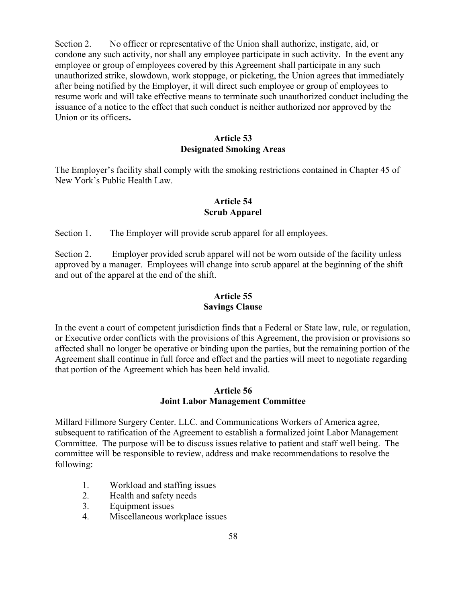Section 2. No officer or representative of the Union shall authorize, instigate, aid, or condone any such activity, nor shall any employee participate in such activity. In the event any employee or group of employees covered by this Agreement shall participate in any such unauthorized strike, slowdown, work stoppage, or picketing, the Union agrees that immediately after being notified by the Employer, it will direct such employee or group of employees to resume work and will take effective means to terminate such unauthorized conduct including the issuance of a notice to the effect that such conduct is neither authorized nor approved by the Union or its officers**.**

#### **Article 53 Designated Smoking Areas**

The Employer's facility shall comply with the smoking restrictions contained in Chapter 45 of New York's Public Health Law.

#### **Article 54 Scrub Apparel**

Section 1. The Employer will provide scrub apparel for all employees.

Section 2. Employer provided scrub apparel will not be worn outside of the facility unless approved by a manager. Employees will change into scrub apparel at the beginning of the shift and out of the apparel at the end of the shift.

#### **Article 55 Savings Clause**

In the event a court of competent jurisdiction finds that a Federal or State law, rule, or regulation, or Executive order conflicts with the provisions of this Agreement, the provision or provisions so affected shall no longer be operative or binding upon the parties, but the remaining portion of the Agreement shall continue in full force and effect and the parties will meet to negotiate regarding that portion of the Agreement which has been held invalid.

#### **Article 56 Joint Labor Management Committee**

Millard Fillmore Surgery Center. LLC. and Communications Workers of America agree, subsequent to ratification of the Agreement to establish a formalized joint Labor Management Committee. The purpose will be to discuss issues relative to patient and staff well being. The committee will be responsible to review, address and make recommendations to resolve the following:

- 1. Workload and staffing issues
- 2. Health and safety needs
- 3. Equipment issues
- 4. Miscellaneous workplace issues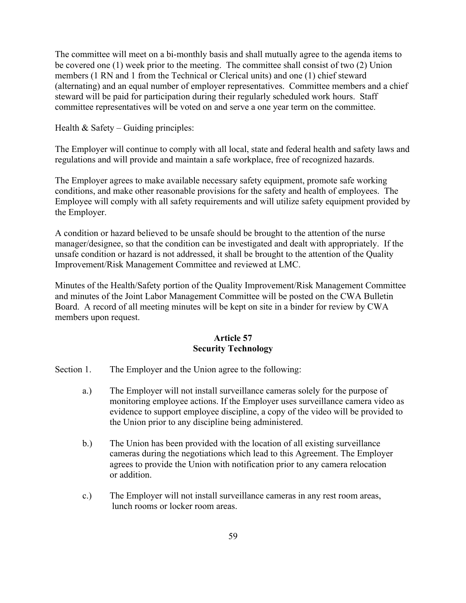The committee will meet on a bi-monthly basis and shall mutually agree to the agenda items to be covered one (1) week prior to the meeting. The committee shall consist of two (2) Union members (1 RN and 1 from the Technical or Clerical units) and one (1) chief steward (alternating) and an equal number of employer representatives. Committee members and a chief steward will be paid for participation during their regularly scheduled work hours. Staff committee representatives will be voted on and serve a one year term on the committee.

Health  $&$  Safety – Guiding principles:

The Employer will continue to comply with all local, state and federal health and safety laws and regulations and will provide and maintain a safe workplace, free of recognized hazards.

The Employer agrees to make available necessary safety equipment, promote safe working conditions, and make other reasonable provisions for the safety and health of employees. The Employee will comply with all safety requirements and will utilize safety equipment provided by the Employer.

A condition or hazard believed to be unsafe should be brought to the attention of the nurse manager/designee, so that the condition can be investigated and dealt with appropriately. If the unsafe condition or hazard is not addressed, it shall be brought to the attention of the Quality Improvement/Risk Management Committee and reviewed at LMC.

Minutes of the Health/Safety portion of the Quality Improvement/Risk Management Committee and minutes of the Joint Labor Management Committee will be posted on the CWA Bulletin Board. A record of all meeting minutes will be kept on site in a binder for review by CWA members upon request.

#### **Article 57 Security Technology**

- Section 1. The Employer and the Union agree to the following:
	- a.) The Employer will not install surveillance cameras solely for the purpose of monitoring employee actions. If the Employer uses surveillance camera video as evidence to support employee discipline, a copy of the video will be provided to the Union prior to any discipline being administered.
	- b.) The Union has been provided with the location of all existing surveillance cameras during the negotiations which lead to this Agreement. The Employer agrees to provide the Union with notification prior to any camera relocation or addition.
	- c.) The Employer will not install surveillance cameras in any rest room areas, lunch rooms or locker room areas.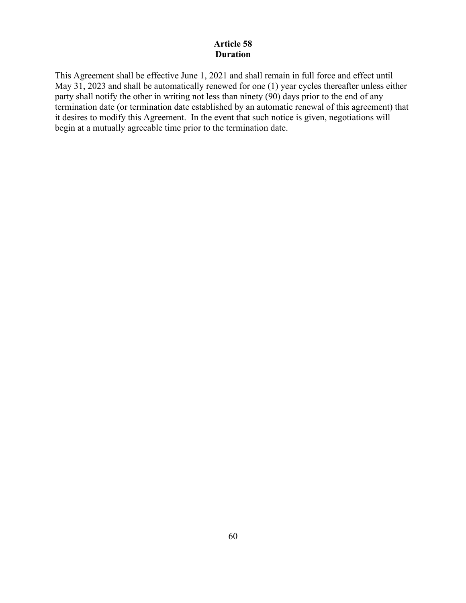## **Article 58 Duration**

This Agreement shall be effective June 1, 2021 and shall remain in full force and effect until May 31, 2023 and shall be automatically renewed for one (1) year cycles thereafter unless either party shall notify the other in writing not less than ninety  $(90)$  days prior to the end of any termination date (or termination date established by an automatic renewal of this agreement) that it desires to modify this Agreement. In the event that such notice is given, negotiations will begin at a mutually agreeable time prior to the termination date.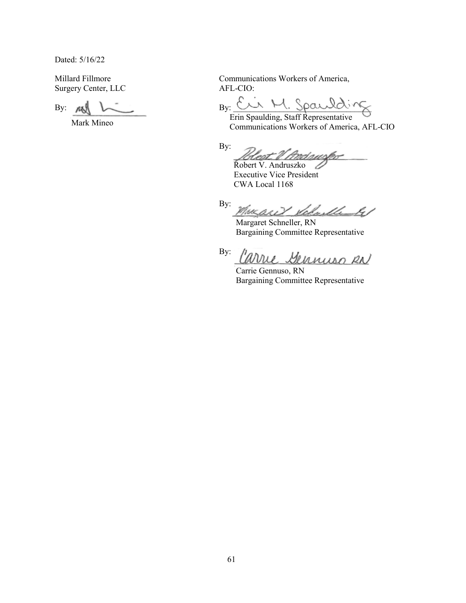Dated: 5/16/22

Millard Fillmore Surgery Center, LLC AFL-CIO:

Mark Mineo

Communications Workers of America,

By:  $\mu$  by:  $\mu$  By:  $\mu$   $\sim$  By:  $\mu$ 

 Erin Spaulding, Staff Representative Communications Workers of America, AFL-CIO

By: Heat V Andaws

Robert V. Andruszko  $\angle$  Executive Vice President CWA Local 1168

By: Velm Muchell k /

 Margaret Schneller, RN Bargaining Committee Representative

By: . **/:tvviu, Jltku,u,l,Jif)** *12A}* 

 Carrie Gennuso, RN Bargaining Committee Representative